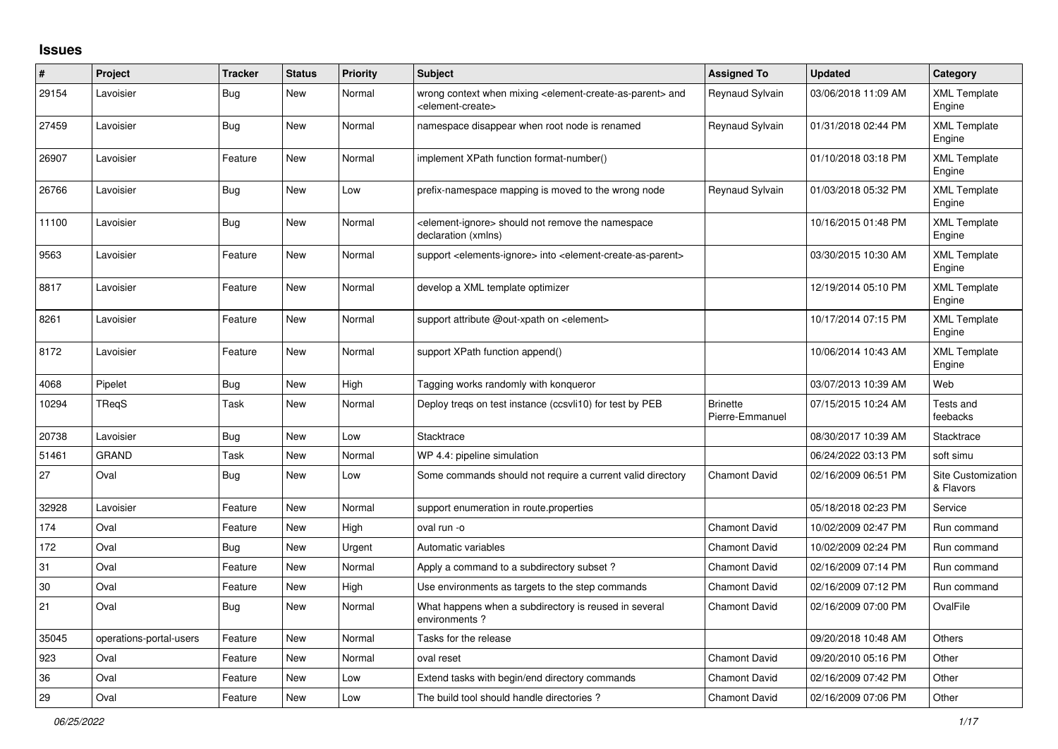## **Issues**

| #     | Project                 | <b>Tracker</b> | <b>Status</b> | <b>Priority</b> | <b>Subject</b>                                                                                                            | <b>Assigned To</b>                 | <b>Updated</b>      | Category                        |
|-------|-------------------------|----------------|---------------|-----------------|---------------------------------------------------------------------------------------------------------------------------|------------------------------------|---------------------|---------------------------------|
| 29154 | Lavoisier               | <b>Bug</b>     | New           | Normal          | wrong context when mixing <element-create-as-parent> and<br/><element-create></element-create></element-create-as-parent> | Reynaud Sylvain                    | 03/06/2018 11:09 AM | <b>XML Template</b><br>Engine   |
| 27459 | Lavoisier               | <b>Bug</b>     | <b>New</b>    | Normal          | namespace disappear when root node is renamed                                                                             | Reynaud Sylvain                    | 01/31/2018 02:44 PM | <b>XML Template</b><br>Engine   |
| 26907 | Lavoisier               | Feature        | <b>New</b>    | Normal          | implement XPath function format-number()                                                                                  |                                    | 01/10/2018 03:18 PM | <b>XML Template</b><br>Engine   |
| 26766 | Lavoisier               | <b>Bug</b>     | New           | Low             | prefix-namespace mapping is moved to the wrong node                                                                       | Reynaud Sylvain                    | 01/03/2018 05:32 PM | <b>XML Template</b><br>Engine   |
| 11100 | Lavoisier               | <b>Bug</b>     | New           | Normal          | element-ignore> should not remove the namespace<br>declaration (xmlns)                                                    |                                    | 10/16/2015 01:48 PM | <b>XML Template</b><br>Engine   |
| 9563  | Lavoisier               | Feature        | New           | Normal          | support <elements-ignore> into <element-create-as-parent></element-create-as-parent></elements-ignore>                    |                                    | 03/30/2015 10:30 AM | <b>XML Template</b><br>Engine   |
| 8817  | Lavoisier               | Feature        | New           | Normal          | develop a XML template optimizer                                                                                          |                                    | 12/19/2014 05:10 PM | <b>XML Template</b><br>Engine   |
| 8261  | Lavoisier               | Feature        | <b>New</b>    | Normal          | support attribute @out-xpath on <element></element>                                                                       |                                    | 10/17/2014 07:15 PM | <b>XML Template</b><br>Engine   |
| 8172  | Lavoisier               | Feature        | <b>New</b>    | Normal          | support XPath function append()                                                                                           |                                    | 10/06/2014 10:43 AM | <b>XML Template</b><br>Engine   |
| 4068  | Pipelet                 | <b>Bug</b>     | <b>New</b>    | High            | Tagging works randomly with konqueror                                                                                     |                                    | 03/07/2013 10:39 AM | Web                             |
| 10294 | TReqS                   | Task           | <b>New</b>    | Normal          | Deploy treqs on test instance (ccsvli10) for test by PEB                                                                  | <b>Brinette</b><br>Pierre-Emmanuel | 07/15/2015 10:24 AM | Tests and<br>feebacks           |
| 20738 | Lavoisier               | <b>Bug</b>     | <b>New</b>    | Low             | Stacktrace                                                                                                                |                                    | 08/30/2017 10:39 AM | Stacktrace                      |
| 51461 | <b>GRAND</b>            | Task           | New           | Normal          | WP 4.4: pipeline simulation                                                                                               |                                    | 06/24/2022 03:13 PM | soft simu                       |
| 27    | Oval                    | Bug            | New           | Low             | Some commands should not require a current valid directory                                                                | <b>Chamont David</b>               | 02/16/2009 06:51 PM | Site Customization<br>& Flavors |
| 32928 | Lavoisier               | Feature        | New           | Normal          | support enumeration in route properties                                                                                   |                                    | 05/18/2018 02:23 PM | Service                         |
| 174   | Oval                    | Feature        | New           | High            | oval run -o                                                                                                               | <b>Chamont David</b>               | 10/02/2009 02:47 PM | Run command                     |
| 172   | Oval                    | Bug            | <b>New</b>    | Urgent          | Automatic variables                                                                                                       | <b>Chamont David</b>               | 10/02/2009 02:24 PM | Run command                     |
| 31    | Oval                    | Feature        | <b>New</b>    | Normal          | Apply a command to a subdirectory subset?                                                                                 | <b>Chamont David</b>               | 02/16/2009 07:14 PM | Run command                     |
| 30    | Oval                    | Feature        | New           | High            | Use environments as targets to the step commands                                                                          | <b>Chamont David</b>               | 02/16/2009 07:12 PM | Run command                     |
| 21    | Oval                    | <b>Bug</b>     | <b>New</b>    | Normal          | What happens when a subdirectory is reused in several<br>environments?                                                    | <b>Chamont David</b>               | 02/16/2009 07:00 PM | OvalFile                        |
| 35045 | operations-portal-users | Feature        | New           | Normal          | Tasks for the release                                                                                                     |                                    | 09/20/2018 10:48 AM | Others                          |
| 923   | Oval                    | Feature        | New           | Normal          | oval reset                                                                                                                | <b>Chamont David</b>               | 09/20/2010 05:16 PM | Other                           |
| 36    | Oval                    | Feature        | <b>New</b>    | Low             | Extend tasks with begin/end directory commands                                                                            | <b>Chamont David</b>               | 02/16/2009 07:42 PM | Other                           |
| 29    | Oval                    | Feature        | New           | Low             | The build tool should handle directories?                                                                                 | <b>Chamont David</b>               | 02/16/2009 07:06 PM | Other                           |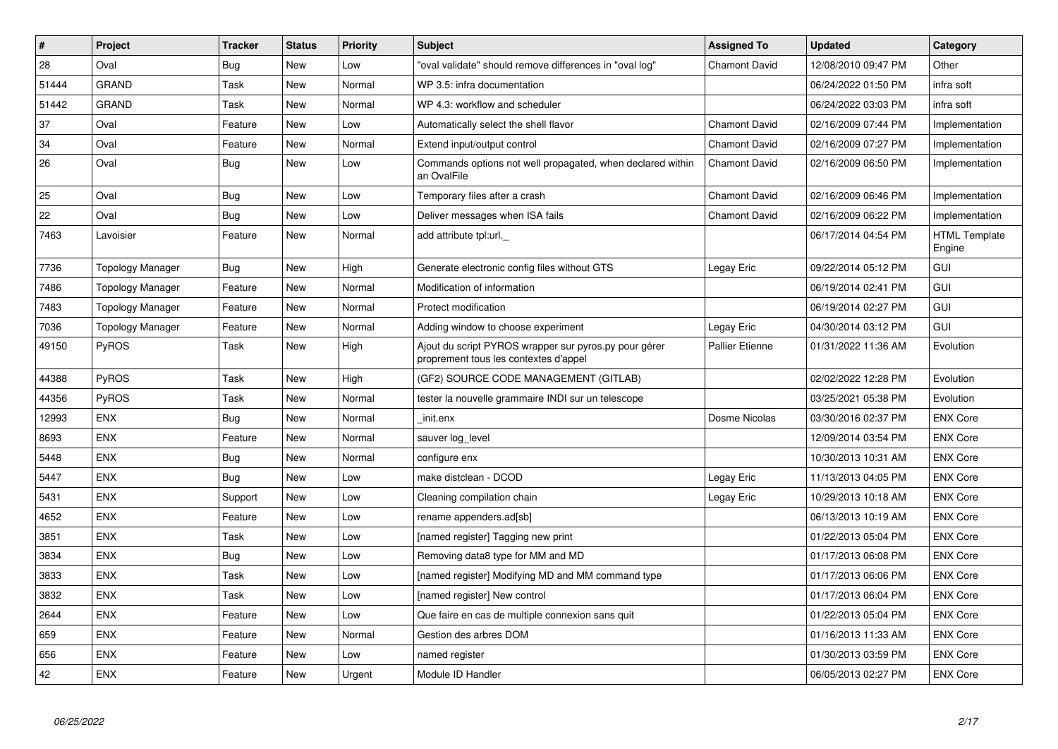| $\#$  | Project                 | <b>Tracker</b> | <b>Status</b> | <b>Priority</b> | <b>Subject</b>                                                                                 | <b>Assigned To</b>     | <b>Updated</b>      | Category                       |
|-------|-------------------------|----------------|---------------|-----------------|------------------------------------------------------------------------------------------------|------------------------|---------------------|--------------------------------|
| 28    | Oval                    | Bug            | <b>New</b>    | Low             | "oval validate" should remove differences in "oval log"                                        | <b>Chamont David</b>   | 12/08/2010 09:47 PM | Other                          |
| 51444 | <b>GRAND</b>            | Task           | <b>New</b>    | Normal          | WP 3.5: infra documentation                                                                    |                        | 06/24/2022 01:50 PM | infra soft                     |
| 51442 | <b>GRAND</b>            | Task           | New           | Normal          | WP 4.3: workflow and scheduler                                                                 |                        | 06/24/2022 03:03 PM | infra soft                     |
| 37    | Oval                    | Feature        | New           | Low             | Automatically select the shell flavor                                                          | <b>Chamont David</b>   | 02/16/2009 07:44 PM | Implementation                 |
| 34    | Oval                    | Feature        | <b>New</b>    | Normal          | Extend input/output control                                                                    | <b>Chamont David</b>   | 02/16/2009 07:27 PM | Implementation                 |
| 26    | Oval                    | Bug            | <b>New</b>    | Low             | Commands options not well propagated, when declared within<br>an OvalFile                      | <b>Chamont David</b>   | 02/16/2009 06:50 PM | Implementation                 |
| 25    | Oval                    | Bug            | <b>New</b>    | Low             | Temporary files after a crash                                                                  | <b>Chamont David</b>   | 02/16/2009 06:46 PM | Implementation                 |
| 22    | Oval                    | <b>Bug</b>     | <b>New</b>    | Low             | Deliver messages when ISA fails                                                                | <b>Chamont David</b>   | 02/16/2009 06:22 PM | Implementation                 |
| 7463  | Lavoisier               | Feature        | New           | Normal          | add attribute tpl:url.                                                                         |                        | 06/17/2014 04:54 PM | <b>HTML Template</b><br>Engine |
| 7736  | <b>Topology Manager</b> | <b>Bug</b>     | <b>New</b>    | High            | Generate electronic config files without GTS                                                   | Legay Eric             | 09/22/2014 05:12 PM | GUI                            |
| 7486  | <b>Topology Manager</b> | Feature        | New           | Normal          | Modification of information                                                                    |                        | 06/19/2014 02:41 PM | GUI                            |
| 7483  | <b>Topology Manager</b> | Feature        | New           | Normal          | Protect modification                                                                           |                        | 06/19/2014 02:27 PM | <b>GUI</b>                     |
| 7036  | <b>Topology Manager</b> | Feature        | <b>New</b>    | Normal          | Adding window to choose experiment                                                             | Legay Eric             | 04/30/2014 03:12 PM | <b>GUI</b>                     |
| 49150 | PyROS                   | Task           | New           | High            | Ajout du script PYROS wrapper sur pyros.py pour gérer<br>proprement tous les contextes d'appel | <b>Pallier Etienne</b> | 01/31/2022 11:36 AM | Evolution                      |
| 44388 | <b>PyROS</b>            | Task           | <b>New</b>    | High            | (GF2) SOURCE CODE MANAGEMENT (GITLAB)                                                          |                        | 02/02/2022 12:28 PM | Evolution                      |
| 44356 | PyROS                   | Task           | <b>New</b>    | Normal          | tester la nouvelle grammaire INDI sur un telescope                                             |                        | 03/25/2021 05:38 PM | Evolution                      |
| 12993 | <b>ENX</b>              | Bug            | <b>New</b>    | Normal          | init.enx                                                                                       | Dosme Nicolas          | 03/30/2016 02:37 PM | <b>ENX Core</b>                |
| 8693  | <b>ENX</b>              | Feature        | New           | Normal          | sauver log level                                                                               |                        | 12/09/2014 03:54 PM | <b>ENX Core</b>                |
| 5448  | <b>ENX</b>              | Bug            | <b>New</b>    | Normal          | configure enx                                                                                  |                        | 10/30/2013 10:31 AM | <b>ENX Core</b>                |
| 5447  | <b>ENX</b>              | Bug            | New           | Low             | make distclean - DCOD                                                                          | Legay Eric             | 11/13/2013 04:05 PM | <b>ENX Core</b>                |
| 5431  | <b>ENX</b>              | Support        | New           | Low             | Cleaning compilation chain                                                                     | Legay Eric             | 10/29/2013 10:18 AM | <b>ENX Core</b>                |
| 4652  | <b>ENX</b>              | Feature        | <b>New</b>    | Low             | rename appenders.ad[sb]                                                                        |                        | 06/13/2013 10:19 AM | <b>ENX Core</b>                |
| 3851  | <b>ENX</b>              | Task           | New           | Low             | [named register] Tagging new print                                                             |                        | 01/22/2013 05:04 PM | <b>ENX Core</b>                |
| 3834  | <b>ENX</b>              | <b>Bug</b>     | <b>New</b>    | Low             | Removing data8 type for MM and MD                                                              |                        | 01/17/2013 06:08 PM | <b>ENX Core</b>                |
| 3833  | <b>ENX</b>              | Task           | New           | Low             | [named register] Modifying MD and MM command type                                              |                        | 01/17/2013 06:06 PM | <b>ENX Core</b>                |
| 3832  | <b>ENX</b>              | Task           | New           | Low             | [named register] New control                                                                   |                        | 01/17/2013 06:04 PM | <b>ENX Core</b>                |
| 2644  | <b>ENX</b>              | Feature        | <b>New</b>    | Low             | Que faire en cas de multiple connexion sans quit                                               |                        | 01/22/2013 05:04 PM | <b>ENX Core</b>                |
| 659   | <b>ENX</b>              | Feature        | New           | Normal          | Gestion des arbres DOM                                                                         |                        | 01/16/2013 11:33 AM | <b>ENX Core</b>                |
| 656   | <b>ENX</b>              | Feature        | New           | Low             | named register                                                                                 |                        | 01/30/2013 03:59 PM | <b>ENX Core</b>                |
| 42    | <b>ENX</b>              | Feature        | New           | Urgent          | Module ID Handler                                                                              |                        | 06/05/2013 02:27 PM | <b>ENX Core</b>                |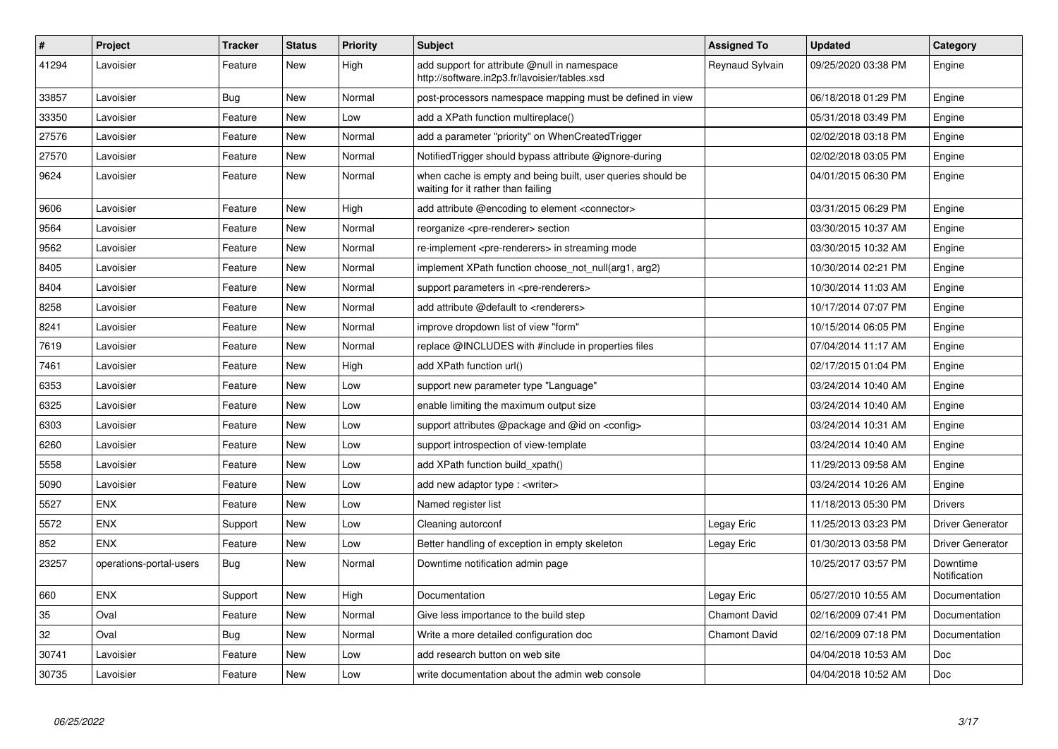| $\#$  | <b>Project</b>          | <b>Tracker</b> | <b>Status</b> | <b>Priority</b> | <b>Subject</b>                                                                                    | <b>Assigned To</b>   | <b>Updated</b>      | Category                 |
|-------|-------------------------|----------------|---------------|-----------------|---------------------------------------------------------------------------------------------------|----------------------|---------------------|--------------------------|
| 41294 | Lavoisier               | Feature        | <b>New</b>    | High            | add support for attribute @null in namespace<br>http://software.in2p3.fr/lavoisier/tables.xsd     | Reynaud Sylvain      | 09/25/2020 03:38 PM | Engine                   |
| 33857 | Lavoisier               | <b>Bug</b>     | <b>New</b>    | Normal          | post-processors namespace mapping must be defined in view                                         |                      | 06/18/2018 01:29 PM | Engine                   |
| 33350 | Lavoisier               | Feature        | New           | Low             | add a XPath function multireplace()                                                               |                      | 05/31/2018 03:49 PM | Engine                   |
| 27576 | Lavoisier               | Feature        | New           | Normal          | add a parameter "priority" on WhenCreatedTrigger                                                  |                      | 02/02/2018 03:18 PM | Engine                   |
| 27570 | Lavoisier               | Feature        | New           | Normal          | Notified Trigger should bypass attribute @ignore-during                                           |                      | 02/02/2018 03:05 PM | Engine                   |
| 9624  | Lavoisier               | Feature        | New           | Normal          | when cache is empty and being built, user queries should be<br>waiting for it rather than failing |                      | 04/01/2015 06:30 PM | Engine                   |
| 9606  | Lavoisier               | Feature        | New           | High            | add attribute @encoding to element <connector></connector>                                        |                      | 03/31/2015 06:29 PM | Engine                   |
| 9564  | Lavoisier               | Feature        | <b>New</b>    | Normal          | reorganize <pre-renderer> section</pre-renderer>                                                  |                      | 03/30/2015 10:37 AM | Engine                   |
| 9562  | Lavoisier               | Feature        | <b>New</b>    | Normal          | re-implement <pre-renderers> in streaming mode</pre-renderers>                                    |                      | 03/30/2015 10:32 AM | Engine                   |
| 8405  | Lavoisier               | Feature        | <b>New</b>    | Normal          | implement XPath function choose not null(arg1, arg2)                                              |                      | 10/30/2014 02:21 PM | Engine                   |
| 8404  | Lavoisier               | Feature        | New           | Normal          | support parameters in <pre-renderers></pre-renderers>                                             |                      | 10/30/2014 11:03 AM | Engine                   |
| 8258  | Lavoisier               | Feature        | New           | Normal          | add attribute @default to <renderers></renderers>                                                 |                      | 10/17/2014 07:07 PM | Engine                   |
| 8241  | Lavoisier               | Feature        | <b>New</b>    | Normal          | improve dropdown list of view "form"                                                              |                      | 10/15/2014 06:05 PM | Engine                   |
| 7619  | Lavoisier               | Feature        | <b>New</b>    | Normal          | replace @INCLUDES with #include in properties files                                               |                      | 07/04/2014 11:17 AM | Engine                   |
| 7461  | Lavoisier               | Feature        | <b>New</b>    | High            | add XPath function url()                                                                          |                      | 02/17/2015 01:04 PM | Engine                   |
| 6353  | Lavoisier               | Feature        | <b>New</b>    | Low             | support new parameter type "Language"                                                             |                      | 03/24/2014 10:40 AM | Engine                   |
| 6325  | Lavoisier               | Feature        | New           | Low             | enable limiting the maximum output size                                                           |                      | 03/24/2014 10:40 AM | Engine                   |
| 6303  | Lavoisier               | Feature        | <b>New</b>    | Low             | support attributes @package and @id on <config></config>                                          |                      | 03/24/2014 10:31 AM | Engine                   |
| 6260  | Lavoisier               | Feature        | New           | Low             | support introspection of view-template                                                            |                      | 03/24/2014 10:40 AM | Engine                   |
| 5558  | Lavoisier               | Feature        | <b>New</b>    | Low             | add XPath function build_xpath()                                                                  |                      | 11/29/2013 09:58 AM | Engine                   |
| 5090  | Lavoisier               | Feature        | New           | Low             | add new adaptor type: <writer></writer>                                                           |                      | 03/24/2014 10:26 AM | Engine                   |
| 5527  | <b>ENX</b>              | Feature        | <b>New</b>    | Low             | Named register list                                                                               |                      | 11/18/2013 05:30 PM | <b>Drivers</b>           |
| 5572  | <b>ENX</b>              | Support        | New           | Low             | Cleaning autorconf                                                                                | Legay Eric           | 11/25/2013 03:23 PM | Driver Generator         |
| 852   | <b>ENX</b>              | Feature        | <b>New</b>    | Low             | Better handling of exception in empty skeleton                                                    | Legay Eric           | 01/30/2013 03:58 PM | <b>Driver Generator</b>  |
| 23257 | operations-portal-users | Bug            | New           | Normal          | Downtime notification admin page                                                                  |                      | 10/25/2017 03:57 PM | Downtime<br>Notification |
| 660   | <b>ENX</b>              | Support        | <b>New</b>    | High            | Documentation                                                                                     | Legay Eric           | 05/27/2010 10:55 AM | Documentation            |
| 35    | Oval                    | Feature        | <b>New</b>    | Normal          | Give less importance to the build step                                                            | <b>Chamont David</b> | 02/16/2009 07:41 PM | Documentation            |
| 32    | Oval                    | Bug            | <b>New</b>    | Normal          | Write a more detailed configuration doc                                                           | <b>Chamont David</b> | 02/16/2009 07:18 PM | Documentation            |
| 30741 | Lavoisier               | Feature        | <b>New</b>    | Low             | add research button on web site                                                                   |                      | 04/04/2018 10:53 AM | Doc                      |
| 30735 | Lavoisier               | Feature        | <b>New</b>    | Low             | write documentation about the admin web console                                                   |                      | 04/04/2018 10:52 AM | <b>Doc</b>               |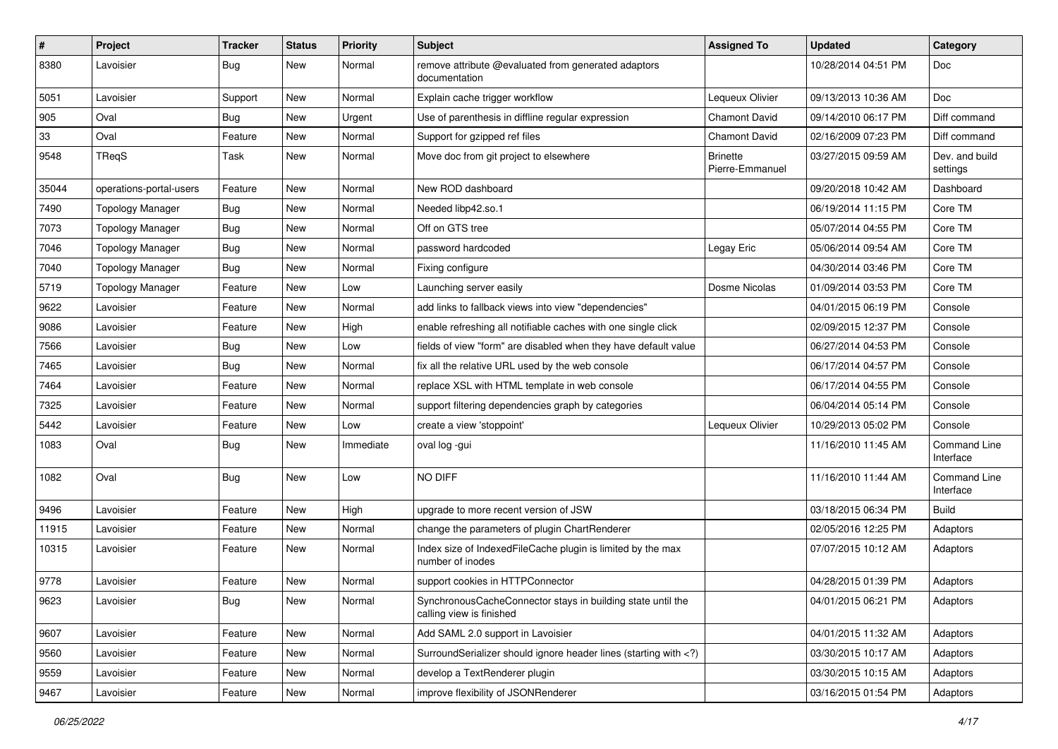| $\sharp$ | Project                 | <b>Tracker</b> | <b>Status</b> | <b>Priority</b> | <b>Subject</b>                                                                                                              | <b>Assigned To</b>                 | <b>Updated</b>      | Category                   |
|----------|-------------------------|----------------|---------------|-----------------|-----------------------------------------------------------------------------------------------------------------------------|------------------------------------|---------------------|----------------------------|
| 8380     | Lavoisier               | Bug            | New           | Normal          | remove attribute @evaluated from generated adaptors<br>documentation                                                        |                                    | 10/28/2014 04:51 PM | Doc                        |
| 5051     | Lavoisier               | Support        | New           | Normal          | Explain cache trigger workflow                                                                                              | Lequeux Olivier                    | 09/13/2013 10:36 AM | Doc                        |
| 905      | Oval                    | <b>Bug</b>     | New           | Urgent          | Use of parenthesis in diffline regular expression                                                                           | Chamont David                      | 09/14/2010 06:17 PM | Diff command               |
| 33       | Oval                    | Feature        | New           | Normal          | Support for gzipped ref files                                                                                               | Chamont David                      | 02/16/2009 07:23 PM | Diff command               |
| 9548     | TReqS                   | Task           | New           | Normal          | Move doc from git project to elsewhere                                                                                      | <b>Brinette</b><br>Pierre-Emmanuel | 03/27/2015 09:59 AM | Dev. and build<br>settings |
| 35044    | operations-portal-users | Feature        | New           | Normal          | New ROD dashboard                                                                                                           |                                    | 09/20/2018 10:42 AM | Dashboard                  |
| 7490     | <b>Topology Manager</b> | <b>Bug</b>     | New           | Normal          | Needed libp42.so.1                                                                                                          |                                    | 06/19/2014 11:15 PM | Core TM                    |
| 7073     | <b>Topology Manager</b> | Bug            | New           | Normal          | Off on GTS tree                                                                                                             |                                    | 05/07/2014 04:55 PM | Core TM                    |
| 7046     | <b>Topology Manager</b> | Bug            | New           | Normal          | password hardcoded                                                                                                          | Legay Eric                         | 05/06/2014 09:54 AM | Core TM                    |
| 7040     | <b>Topology Manager</b> | Bug            | New           | Normal          | Fixing configure                                                                                                            |                                    | 04/30/2014 03:46 PM | Core TM                    |
| 5719     | <b>Topology Manager</b> | Feature        | New           | Low             | Launching server easily                                                                                                     | Dosme Nicolas                      | 01/09/2014 03:53 PM | Core TM                    |
| 9622     | Lavoisier               | Feature        | New           | Normal          | add links to fallback views into view "dependencies"                                                                        |                                    | 04/01/2015 06:19 PM | Console                    |
| 9086     | Lavoisier               | Feature        | New           | High            | enable refreshing all notifiable caches with one single click                                                               |                                    | 02/09/2015 12:37 PM | Console                    |
| 7566     | Lavoisier               | Bug            | New           | Low             | fields of view "form" are disabled when they have default value                                                             |                                    | 06/27/2014 04:53 PM | Console                    |
| 7465     | Lavoisier               | Bug            | New           | Normal          | fix all the relative URL used by the web console                                                                            |                                    | 06/17/2014 04:57 PM | Console                    |
| 7464     | Lavoisier               | Feature        | New           | Normal          | replace XSL with HTML template in web console                                                                               |                                    | 06/17/2014 04:55 PM | Console                    |
| 7325     | Lavoisier               | Feature        | New           | Normal          | support filtering dependencies graph by categories                                                                          |                                    | 06/04/2014 05:14 PM | Console                    |
| 5442     | Lavoisier               | Feature        | New           | Low             | create a view 'stoppoint'                                                                                                   | Lequeux Olivier                    | 10/29/2013 05:02 PM | Console                    |
| 1083     | Oval                    | Bug            | New           | Immediate       | oval log -gui                                                                                                               |                                    | 11/16/2010 11:45 AM | Command Line<br>Interface  |
| 1082     | Oval                    | Bug            | New           | Low             | NO DIFF                                                                                                                     |                                    | 11/16/2010 11:44 AM | Command Line<br>Interface  |
| 9496     | Lavoisier               | Feature        | New           | High            | upgrade to more recent version of JSW                                                                                       |                                    | 03/18/2015 06:34 PM | <b>Build</b>               |
| 11915    | Lavoisier               | Feature        | New           | Normal          | change the parameters of plugin ChartRenderer                                                                               |                                    | 02/05/2016 12:25 PM | Adaptors                   |
| 10315    | Lavoisier               | Feature        | New           | Normal          | Index size of IndexedFileCache plugin is limited by the max<br>number of inodes                                             |                                    | 07/07/2015 10:12 AM | Adaptors                   |
| 9778     | Lavoisier               | Feature        | New           | Normal          | support cookies in HTTPConnector                                                                                            |                                    | 04/28/2015 01:39 PM | Adaptors                   |
| 9623     | Lavoisier               | <b>Bug</b>     | New           | Normal          | SynchronousCacheConnector stays in building state until the<br>calling view is finished                                     |                                    | 04/01/2015 06:21 PM | Adaptors                   |
| 9607     | Lavoisier               | Feature        | New           | Normal          | Add SAML 2.0 support in Lavoisier                                                                                           |                                    | 04/01/2015 11:32 AM | Adaptors                   |
| 9560     | Lavoisier               | Feature        | New           | Normal          | SurroundSerializer should ignore header lines (starting with )</td <td></td> <td>03/30/2015 10:17 AM</td> <td>Adaptors</td> |                                    | 03/30/2015 10:17 AM | Adaptors                   |
| 9559     | Lavoisier               | Feature        | New           | Normal          | develop a TextRenderer plugin                                                                                               |                                    | 03/30/2015 10:15 AM | Adaptors                   |
| 9467     | Lavoisier               | Feature        | New           | Normal          | improve flexibility of JSONRenderer                                                                                         |                                    | 03/16/2015 01:54 PM | Adaptors                   |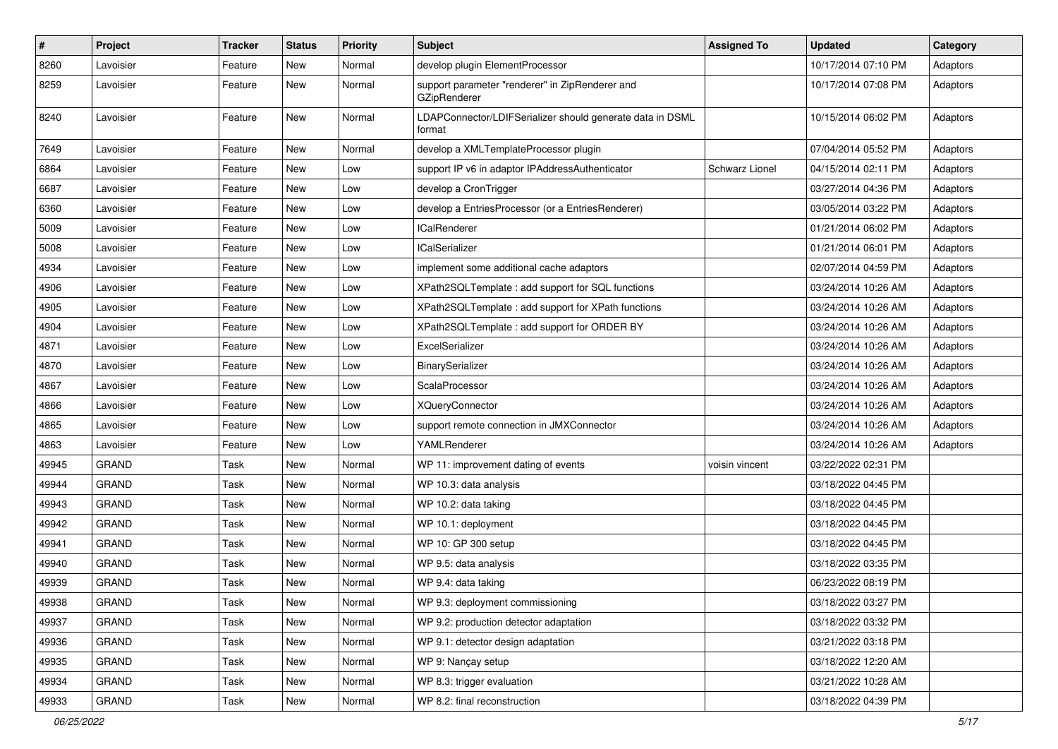| $\pmb{\#}$ | Project      | <b>Tracker</b> | <b>Status</b> | <b>Priority</b> | Subject                                                             | <b>Assigned To</b> | <b>Updated</b>      | Category |
|------------|--------------|----------------|---------------|-----------------|---------------------------------------------------------------------|--------------------|---------------------|----------|
| 8260       | Lavoisier    | Feature        | New           | Normal          | develop plugin ElementProcessor                                     |                    | 10/17/2014 07:10 PM | Adaptors |
| 8259       | Lavoisier    | Feature        | New           | Normal          | support parameter "renderer" in ZipRenderer and<br>GZipRenderer     |                    | 10/17/2014 07:08 PM | Adaptors |
| 8240       | Lavoisier    | Feature        | New           | Normal          | LDAPConnector/LDIFSerializer should generate data in DSML<br>format |                    | 10/15/2014 06:02 PM | Adaptors |
| 7649       | Lavoisier    | Feature        | New           | Normal          | develop a XMLTemplateProcessor plugin                               |                    | 07/04/2014 05:52 PM | Adaptors |
| 6864       | Lavoisier    | Feature        | <b>New</b>    | Low             | support IP v6 in adaptor IPAddressAuthenticator                     | Schwarz Lionel     | 04/15/2014 02:11 PM | Adaptors |
| 6687       | Lavoisier    | Feature        | New           | Low             | develop a CronTrigger                                               |                    | 03/27/2014 04:36 PM | Adaptors |
| 6360       | Lavoisier    | Feature        | New           | Low             | develop a EntriesProcessor (or a EntriesRenderer)                   |                    | 03/05/2014 03:22 PM | Adaptors |
| 5009       | Lavoisier    | Feature        | New           | Low             | <b>ICalRenderer</b>                                                 |                    | 01/21/2014 06:02 PM | Adaptors |
| 5008       | Lavoisier    | Feature        | New           | Low             | <b>ICalSerializer</b>                                               |                    | 01/21/2014 06:01 PM | Adaptors |
| 4934       | Lavoisier    | Feature        | New           | Low             | implement some additional cache adaptors                            |                    | 02/07/2014 04:59 PM | Adaptors |
| 4906       | Lavoisier    | Feature        | New           | Low             | XPath2SQLTemplate : add support for SQL functions                   |                    | 03/24/2014 10:26 AM | Adaptors |
| 4905       | Lavoisier    | Feature        | New           | Low             | XPath2SQLTemplate : add support for XPath functions                 |                    | 03/24/2014 10:26 AM | Adaptors |
| 4904       | Lavoisier    | Feature        | New           | Low             | XPath2SQLTemplate : add support for ORDER BY                        |                    | 03/24/2014 10:26 AM | Adaptors |
| 4871       | Lavoisier    | Feature        | New           | Low             | ExcelSerializer                                                     |                    | 03/24/2014 10:26 AM | Adaptors |
| 4870       | Lavoisier    | Feature        | New           | Low             | BinarySerializer                                                    |                    | 03/24/2014 10:26 AM | Adaptors |
| 4867       | Lavoisier    | Feature        | New           | Low             | ScalaProcessor                                                      |                    | 03/24/2014 10:26 AM | Adaptors |
| 4866       | Lavoisier    | Feature        | New           | Low             | <b>XQueryConnector</b>                                              |                    | 03/24/2014 10:26 AM | Adaptors |
| 4865       | Lavoisier    | Feature        | <b>New</b>    | Low             | support remote connection in JMXConnector                           |                    | 03/24/2014 10:26 AM | Adaptors |
| 4863       | Lavoisier    | Feature        | New           | Low             | YAMLRenderer                                                        |                    | 03/24/2014 10:26 AM | Adaptors |
| 49945      | <b>GRAND</b> | Task           | New           | Normal          | WP 11: improvement dating of events                                 | voisin vincent     | 03/22/2022 02:31 PM |          |
| 49944      | <b>GRAND</b> | Task           | New           | Normal          | WP 10.3: data analysis                                              |                    | 03/18/2022 04:45 PM |          |
| 49943      | <b>GRAND</b> | Task           | New           | Normal          | WP 10.2: data taking                                                |                    | 03/18/2022 04:45 PM |          |
| 49942      | <b>GRAND</b> | Task           | New           | Normal          | WP 10.1: deployment                                                 |                    | 03/18/2022 04:45 PM |          |
| 49941      | <b>GRAND</b> | Task           | New           | Normal          | WP 10: GP 300 setup                                                 |                    | 03/18/2022 04:45 PM |          |
| 49940      | <b>GRAND</b> | Task           | New           | Normal          | WP 9.5: data analysis                                               |                    | 03/18/2022 03:35 PM |          |
| 49939      | GRAND        | Task           | New           | Normal          | WP 9.4: data taking                                                 |                    | 06/23/2022 08:19 PM |          |
| 49938      | GRAND        | Task           | New           | Normal          | WP 9.3: deployment commissioning                                    |                    | 03/18/2022 03:27 PM |          |
| 49937      | <b>GRAND</b> | Task           | New           | Normal          | WP 9.2: production detector adaptation                              |                    | 03/18/2022 03:32 PM |          |
| 49936      | <b>GRAND</b> | Task           | New           | Normal          | WP 9.1: detector design adaptation                                  |                    | 03/21/2022 03:18 PM |          |
| 49935      | GRAND        | Task           | New           | Normal          | WP 9: Nancay setup                                                  |                    | 03/18/2022 12:20 AM |          |
| 49934      | <b>GRAND</b> | Task           | New           | Normal          | WP 8.3: trigger evaluation                                          |                    | 03/21/2022 10:28 AM |          |
| 49933      | GRAND        | Task           | New           | Normal          | WP 8.2: final reconstruction                                        |                    | 03/18/2022 04:39 PM |          |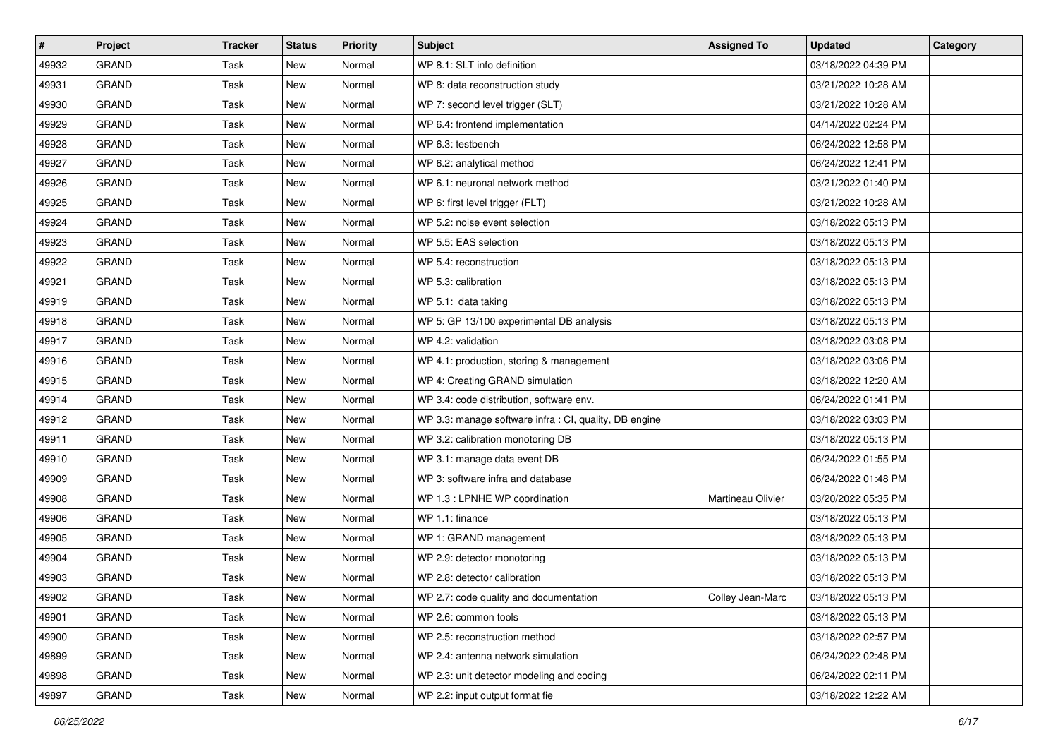| $\vert$ # | Project      | <b>Tracker</b> | <b>Status</b> | <b>Priority</b> | Subject                                                | <b>Assigned To</b> | <b>Updated</b>      | Category |
|-----------|--------------|----------------|---------------|-----------------|--------------------------------------------------------|--------------------|---------------------|----------|
| 49932     | <b>GRAND</b> | Task           | New           | Normal          | WP 8.1: SLT info definition                            |                    | 03/18/2022 04:39 PM |          |
| 49931     | <b>GRAND</b> | Task           | New           | Normal          | WP 8: data reconstruction study                        |                    | 03/21/2022 10:28 AM |          |
| 49930     | <b>GRAND</b> | Task           | New           | Normal          | WP 7: second level trigger (SLT)                       |                    | 03/21/2022 10:28 AM |          |
| 49929     | <b>GRAND</b> | Task           | New           | Normal          | WP 6.4: frontend implementation                        |                    | 04/14/2022 02:24 PM |          |
| 49928     | <b>GRAND</b> | Task           | New           | Normal          | WP 6.3: testbench                                      |                    | 06/24/2022 12:58 PM |          |
| 49927     | <b>GRAND</b> | Task           | <b>New</b>    | Normal          | WP 6.2: analytical method                              |                    | 06/24/2022 12:41 PM |          |
| 49926     | <b>GRAND</b> | Task           | New           | Normal          | WP 6.1: neuronal network method                        |                    | 03/21/2022 01:40 PM |          |
| 49925     | <b>GRAND</b> | Task           | New           | Normal          | WP 6: first level trigger (FLT)                        |                    | 03/21/2022 10:28 AM |          |
| 49924     | <b>GRAND</b> | Task           | New           | Normal          | WP 5.2: noise event selection                          |                    | 03/18/2022 05:13 PM |          |
| 49923     | <b>GRAND</b> | Task           | New           | Normal          | WP 5.5: EAS selection                                  |                    | 03/18/2022 05:13 PM |          |
| 49922     | <b>GRAND</b> | Task           | New           | Normal          | WP 5.4: reconstruction                                 |                    | 03/18/2022 05:13 PM |          |
| 49921     | <b>GRAND</b> | Task           | New           | Normal          | WP 5.3: calibration                                    |                    | 03/18/2022 05:13 PM |          |
| 49919     | <b>GRAND</b> | Task           | New           | Normal          | WP 5.1: data taking                                    |                    | 03/18/2022 05:13 PM |          |
| 49918     | <b>GRAND</b> | Task           | New           | Normal          | WP 5: GP 13/100 experimental DB analysis               |                    | 03/18/2022 05:13 PM |          |
| 49917     | <b>GRAND</b> | Task           | <b>New</b>    | Normal          | WP 4.2: validation                                     |                    | 03/18/2022 03:08 PM |          |
| 49916     | <b>GRAND</b> | Task           | <b>New</b>    | Normal          | WP 4.1: production, storing & management               |                    | 03/18/2022 03:06 PM |          |
| 49915     | <b>GRAND</b> | Task           | New           | Normal          | WP 4: Creating GRAND simulation                        |                    | 03/18/2022 12:20 AM |          |
| 49914     | GRAND        | Task           | New           | Normal          | WP 3.4: code distribution, software env.               |                    | 06/24/2022 01:41 PM |          |
| 49912     | <b>GRAND</b> | Task           | <b>New</b>    | Normal          | WP 3.3: manage software infra : CI, quality, DB engine |                    | 03/18/2022 03:03 PM |          |
| 49911     | <b>GRAND</b> | Task           | New           | Normal          | WP 3.2: calibration monotoring DB                      |                    | 03/18/2022 05:13 PM |          |
| 49910     | <b>GRAND</b> | Task           | New           | Normal          | WP 3.1: manage data event DB                           |                    | 06/24/2022 01:55 PM |          |
| 49909     | <b>GRAND</b> | Task           | New           | Normal          | WP 3: software infra and database                      |                    | 06/24/2022 01:48 PM |          |
| 49908     | GRAND        | Task           | New           | Normal          | WP 1.3 : LPNHE WP coordination                         | Martineau Olivier  | 03/20/2022 05:35 PM |          |
| 49906     | <b>GRAND</b> | Task           | <b>New</b>    | Normal          | WP 1.1: finance                                        |                    | 03/18/2022 05:13 PM |          |
| 49905     | <b>GRAND</b> | Task           | New           | Normal          | WP 1: GRAND management                                 |                    | 03/18/2022 05:13 PM |          |
| 49904     | <b>GRAND</b> | Task           | New           | Normal          | WP 2.9: detector monotoring                            |                    | 03/18/2022 05:13 PM |          |
| 49903     | <b>GRAND</b> | Task           | New           | Normal          | WP 2.8: detector calibration                           |                    | 03/18/2022 05:13 PM |          |
| 49902     | GRAND        | Task           | New           | Normal          | WP 2.7: code quality and documentation                 | Colley Jean-Marc   | 03/18/2022 05:13 PM |          |
| 49901     | <b>GRAND</b> | Task           | New           | Normal          | WP 2.6: common tools                                   |                    | 03/18/2022 05:13 PM |          |
| 49900     | <b>GRAND</b> | Task           | New           | Normal          | WP 2.5: reconstruction method                          |                    | 03/18/2022 02:57 PM |          |
| 49899     | GRAND        | Task           | New           | Normal          | WP 2.4: antenna network simulation                     |                    | 06/24/2022 02:48 PM |          |
| 49898     | GRAND        | Task           | New           | Normal          | WP 2.3: unit detector modeling and coding              |                    | 06/24/2022 02:11 PM |          |
| 49897     | GRAND        | Task           | New           | Normal          | WP 2.2: input output format fie                        |                    | 03/18/2022 12:22 AM |          |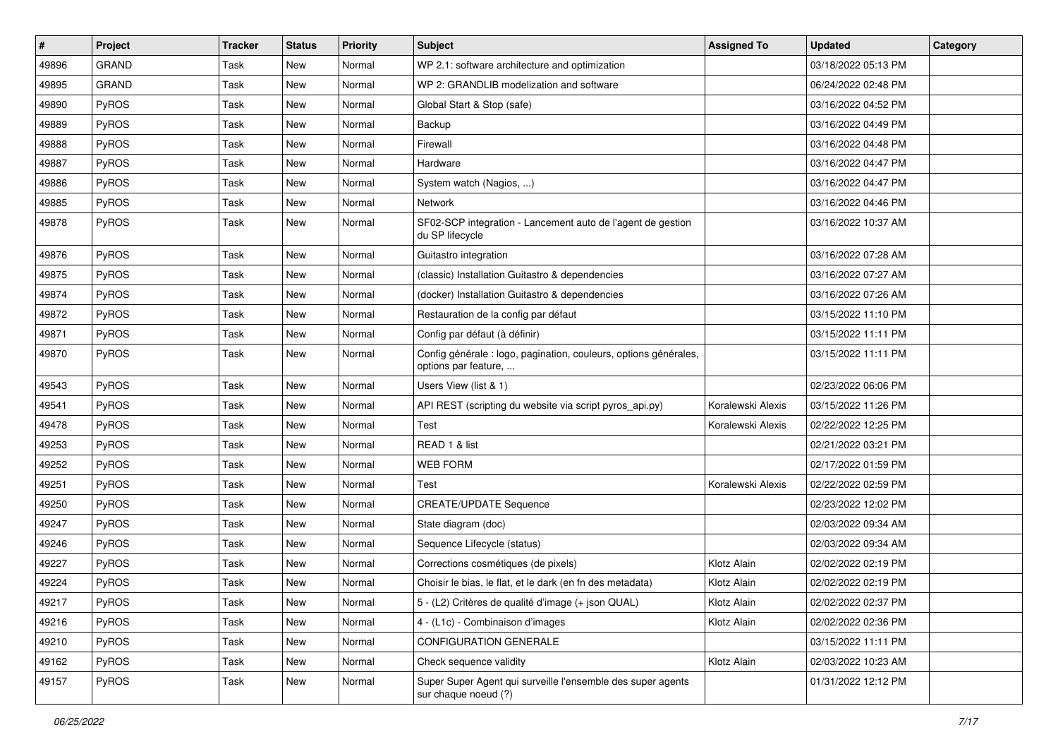| $\sharp$ | <b>Project</b> | <b>Tracker</b> | <b>Status</b> | <b>Priority</b> | Subject                                                                                  | <b>Assigned To</b> | <b>Updated</b>      | Category |
|----------|----------------|----------------|---------------|-----------------|------------------------------------------------------------------------------------------|--------------------|---------------------|----------|
| 49896    | <b>GRAND</b>   | Task           | New           | Normal          | WP 2.1: software architecture and optimization                                           |                    | 03/18/2022 05:13 PM |          |
| 49895    | <b>GRAND</b>   | Task           | <b>New</b>    | Normal          | WP 2: GRANDLIB modelization and software                                                 |                    | 06/24/2022 02:48 PM |          |
| 49890    | PyROS          | Task           | New           | Normal          | Global Start & Stop (safe)                                                               |                    | 03/16/2022 04:52 PM |          |
| 49889    | PyROS          | Task           | New           | Normal          | Backup                                                                                   |                    | 03/16/2022 04:49 PM |          |
| 49888    | PyROS          | Task           | <b>New</b>    | Normal          | Firewall                                                                                 |                    | 03/16/2022 04:48 PM |          |
| 49887    | PyROS          | Task           | <b>New</b>    | Normal          | Hardware                                                                                 |                    | 03/16/2022 04:47 PM |          |
| 49886    | PyROS          | Task           | <b>New</b>    | Normal          | System watch (Nagios, )                                                                  |                    | 03/16/2022 04:47 PM |          |
| 49885    | PyROS          | Task           | New           | Normal          | Network                                                                                  |                    | 03/16/2022 04:46 PM |          |
| 49878    | PyROS          | Task           | New           | Normal          | SF02-SCP integration - Lancement auto de l'agent de gestion<br>du SP lifecycle           |                    | 03/16/2022 10:37 AM |          |
| 49876    | PyROS          | Task           | <b>New</b>    | Normal          | Guitastro integration                                                                    |                    | 03/16/2022 07:28 AM |          |
| 49875    | PyROS          | Task           | <b>New</b>    | Normal          | (classic) Installation Guitastro & dependencies                                          |                    | 03/16/2022 07:27 AM |          |
| 49874    | PyROS          | Task           | New           | Normal          | (docker) Installation Guitastro & dependencies                                           |                    | 03/16/2022 07:26 AM |          |
| 49872    | PyROS          | Task           | New           | Normal          | Restauration de la config par défaut                                                     |                    | 03/15/2022 11:10 PM |          |
| 49871    | PyROS          | Task           | <b>New</b>    | Normal          | Config par défaut (à définir)                                                            |                    | 03/15/2022 11:11 PM |          |
| 49870    | PyROS          | Task           | New           | Normal          | Config générale : logo, pagination, couleurs, options générales,<br>options par feature, |                    | 03/15/2022 11:11 PM |          |
| 49543    | PyROS          | Task           | <b>New</b>    | Normal          | Users View (list & 1)                                                                    |                    | 02/23/2022 06:06 PM |          |
| 49541    | PyROS          | Task           | <b>New</b>    | Normal          | API REST (scripting du website via script pyros_api.py)                                  | Koralewski Alexis  | 03/15/2022 11:26 PM |          |
| 49478    | PyROS          | Task           | <b>New</b>    | Normal          | Test                                                                                     | Koralewski Alexis  | 02/22/2022 12:25 PM |          |
| 49253    | PyROS          | Task           | New           | Normal          | READ 1 & list                                                                            |                    | 02/21/2022 03:21 PM |          |
| 49252    | PyROS          | Task           | <b>New</b>    | Normal          | <b>WEB FORM</b>                                                                          |                    | 02/17/2022 01:59 PM |          |
| 49251    | PyROS          | Task           | <b>New</b>    | Normal          | Test                                                                                     | Koralewski Alexis  | 02/22/2022 02:59 PM |          |
| 49250    | PyROS          | Task           | New           | Normal          | <b>CREATE/UPDATE Sequence</b>                                                            |                    | 02/23/2022 12:02 PM |          |
| 49247    | PyROS          | Task           | New           | Normal          | State diagram (doc)                                                                      |                    | 02/03/2022 09:34 AM |          |
| 49246    | PyROS          | Task           | <b>New</b>    | Normal          | Sequence Lifecycle (status)                                                              |                    | 02/03/2022 09:34 AM |          |
| 49227    | PyROS          | Task           | <b>New</b>    | Normal          | Corrections cosmétiques (de pixels)                                                      | Klotz Alain        | 02/02/2022 02:19 PM |          |
| 49224    | PyROS          | Task           | <b>New</b>    | Normal          | Choisir le bias, le flat, et le dark (en fn des metadata)                                | Klotz Alain        | 02/02/2022 02:19 PM |          |
| 49217    | PyROS          | Task           | New           | Normal          | 5 - (L2) Critères de qualité d'image (+ json QUAL)                                       | Klotz Alain        | 02/02/2022 02:37 PM |          |
| 49216    | PyROS          | Task           | New           | Normal          | 4 - (L1c) - Combinaison d'images                                                         | Klotz Alain        | 02/02/2022 02:36 PM |          |
| 49210    | PyROS          | Task           | New           | Normal          | CONFIGURATION GENERALE                                                                   |                    | 03/15/2022 11:11 PM |          |
| 49162    | PyROS          | Task           | New           | Normal          | Check sequence validity                                                                  | Klotz Alain        | 02/03/2022 10:23 AM |          |
| 49157    | PyROS          | Task           | New           | Normal          | Super Super Agent qui surveille l'ensemble des super agents<br>sur chaque noeud (?)      |                    | 01/31/2022 12:12 PM |          |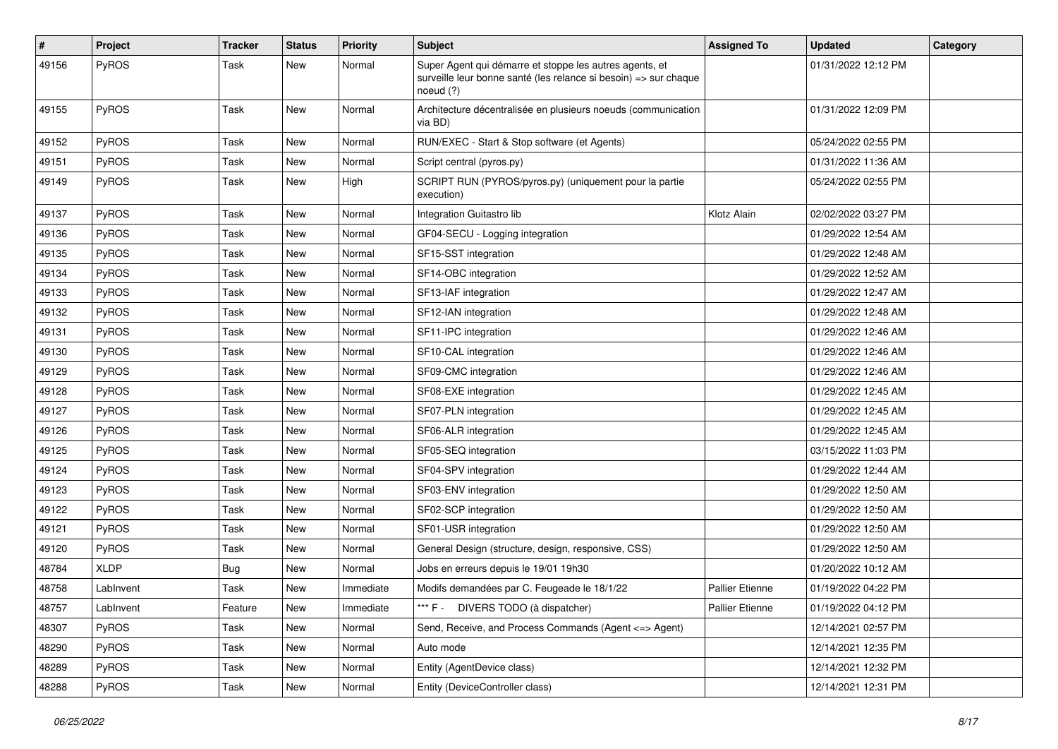| #     | Project      | <b>Tracker</b> | <b>Status</b> | <b>Priority</b> | <b>Subject</b>                                                                                                                           | <b>Assigned To</b>     | <b>Updated</b>      | Category |
|-------|--------------|----------------|---------------|-----------------|------------------------------------------------------------------------------------------------------------------------------------------|------------------------|---------------------|----------|
| 49156 | PyROS        | Task           | New           | Normal          | Super Agent qui démarre et stoppe les autres agents, et<br>surveille leur bonne santé (les relance si besoin) => sur chaque<br>noeud (?) |                        | 01/31/2022 12:12 PM |          |
| 49155 | PyROS        | Task           | New           | Normal          | Architecture décentralisée en plusieurs noeuds (communication<br>via BD)                                                                 |                        | 01/31/2022 12:09 PM |          |
| 49152 | <b>PyROS</b> | Task           | <b>New</b>    | Normal          | RUN/EXEC - Start & Stop software (et Agents)                                                                                             |                        | 05/24/2022 02:55 PM |          |
| 49151 | PyROS        | Task           | <b>New</b>    | Normal          | Script central (pyros.py)                                                                                                                |                        | 01/31/2022 11:36 AM |          |
| 49149 | PyROS        | Task           | <b>New</b>    | High            | SCRIPT RUN (PYROS/pyros.py) (uniquement pour la partie<br>execution)                                                                     |                        | 05/24/2022 02:55 PM |          |
| 49137 | PyROS        | Task           | New           | Normal          | Integration Guitastro lib                                                                                                                | Klotz Alain            | 02/02/2022 03:27 PM |          |
| 49136 | PyROS        | Task           | New           | Normal          | GF04-SECU - Logging integration                                                                                                          |                        | 01/29/2022 12:54 AM |          |
| 49135 | PyROS        | Task           | New           | Normal          | SF15-SST integration                                                                                                                     |                        | 01/29/2022 12:48 AM |          |
| 49134 | PyROS        | Task           | <b>New</b>    | Normal          | SF14-OBC integration                                                                                                                     |                        | 01/29/2022 12:52 AM |          |
| 49133 | PyROS        | Task           | New           | Normal          | SF13-IAF integration                                                                                                                     |                        | 01/29/2022 12:47 AM |          |
| 49132 | PyROS        | Task           | <b>New</b>    | Normal          | SF12-IAN integration                                                                                                                     |                        | 01/29/2022 12:48 AM |          |
| 49131 | PyROS        | Task           | New           | Normal          | SF11-IPC integration                                                                                                                     |                        | 01/29/2022 12:46 AM |          |
| 49130 | PyROS        | Task           | New           | Normal          | SF10-CAL integration                                                                                                                     |                        | 01/29/2022 12:46 AM |          |
| 49129 | PyROS        | Task           | <b>New</b>    | Normal          | SF09-CMC integration                                                                                                                     |                        | 01/29/2022 12:46 AM |          |
| 49128 | PyROS        | Task           | <b>New</b>    | Normal          | SF08-EXE integration                                                                                                                     |                        | 01/29/2022 12:45 AM |          |
| 49127 | PyROS        | Task           | <b>New</b>    | Normal          | SF07-PLN integration                                                                                                                     |                        | 01/29/2022 12:45 AM |          |
| 49126 | PyROS        | Task           | New           | Normal          | SF06-ALR integration                                                                                                                     |                        | 01/29/2022 12:45 AM |          |
| 49125 | PyROS        | Task           | <b>New</b>    | Normal          | SF05-SEQ integration                                                                                                                     |                        | 03/15/2022 11:03 PM |          |
| 49124 | PyROS        | Task           | <b>New</b>    | Normal          | SF04-SPV integration                                                                                                                     |                        | 01/29/2022 12:44 AM |          |
| 49123 | PyROS        | Task           | New           | Normal          | SF03-ENV integration                                                                                                                     |                        | 01/29/2022 12:50 AM |          |
| 49122 | PyROS        | Task           | New           | Normal          | SF02-SCP integration                                                                                                                     |                        | 01/29/2022 12:50 AM |          |
| 49121 | PyROS        | Task           | <b>New</b>    | Normal          | SF01-USR integration                                                                                                                     |                        | 01/29/2022 12:50 AM |          |
| 49120 | PyROS        | Task           | New           | Normal          | General Design (structure, design, responsive, CSS)                                                                                      |                        | 01/29/2022 12:50 AM |          |
| 48784 | <b>XLDP</b>  | <b>Bug</b>     | New           | Normal          | Jobs en erreurs depuis le 19/01 19h30                                                                                                    |                        | 01/20/2022 10:12 AM |          |
| 48758 | LabInvent    | Task           | New           | Immediate       | Modifs demandées par C. Feugeade le 18/1/22                                                                                              | <b>Pallier Etienne</b> | 01/19/2022 04:22 PM |          |
| 48757 | LabInvent    | Feature        | New           | Immediate       | *** F - DIVERS TODO (à dispatcher)                                                                                                       | Pallier Etienne        | 01/19/2022 04:12 PM |          |
| 48307 | PyROS        | Task           | New           | Normal          | Send, Receive, and Process Commands (Agent <= > Agent)                                                                                   |                        | 12/14/2021 02:57 PM |          |
| 48290 | PyROS        | Task           | New           | Normal          | Auto mode                                                                                                                                |                        | 12/14/2021 12:35 PM |          |
| 48289 | PyROS        | Task           | New           | Normal          | Entity (AgentDevice class)                                                                                                               |                        | 12/14/2021 12:32 PM |          |
| 48288 | PyROS        | Task           | New           | Normal          | Entity (DeviceController class)                                                                                                          |                        | 12/14/2021 12:31 PM |          |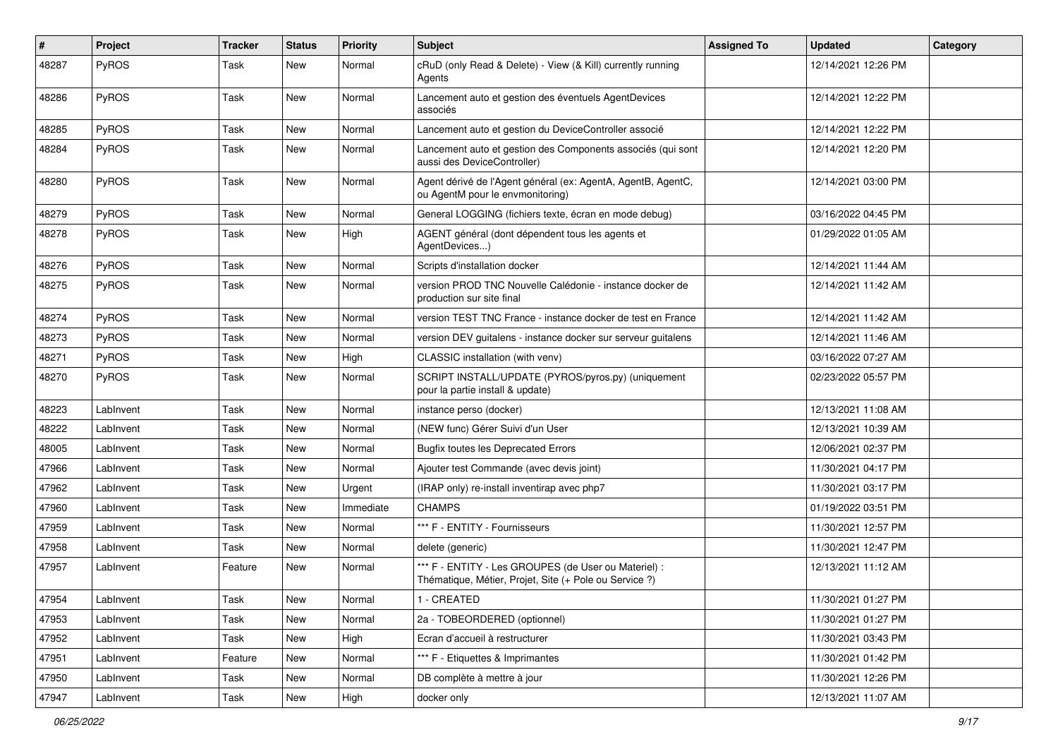| #     | Project      | <b>Tracker</b> | <b>Status</b> | <b>Priority</b> | <b>Subject</b>                                                                                                 | <b>Assigned To</b> | <b>Updated</b>      | Category |
|-------|--------------|----------------|---------------|-----------------|----------------------------------------------------------------------------------------------------------------|--------------------|---------------------|----------|
| 48287 | PyROS        | Task           | New           | Normal          | cRuD (only Read & Delete) - View (& Kill) currently running<br>Agents                                          |                    | 12/14/2021 12:26 PM |          |
| 48286 | PyROS        | Task           | New           | Normal          | Lancement auto et gestion des éventuels AgentDevices<br>associés                                               |                    | 12/14/2021 12:22 PM |          |
| 48285 | PyROS        | Task           | <b>New</b>    | Normal          | Lancement auto et gestion du DeviceController associé                                                          |                    | 12/14/2021 12:22 PM |          |
| 48284 | PyROS        | Task           | <b>New</b>    | Normal          | Lancement auto et gestion des Components associés (qui sont<br>aussi des DeviceController)                     |                    | 12/14/2021 12:20 PM |          |
| 48280 | PyROS        | Task           | New           | Normal          | Agent dérivé de l'Agent général (ex: AgentA, AgentB, AgentC,<br>ou AgentM pour le envmonitoring)               |                    | 12/14/2021 03:00 PM |          |
| 48279 | PyROS        | Task           | New           | Normal          | General LOGGING (fichiers texte, écran en mode debug)                                                          |                    | 03/16/2022 04:45 PM |          |
| 48278 | <b>PyROS</b> | Task           | New           | High            | AGENT général (dont dépendent tous les agents et<br>AgentDevices)                                              |                    | 01/29/2022 01:05 AM |          |
| 48276 | PyROS        | Task           | <b>New</b>    | Normal          | Scripts d'installation docker                                                                                  |                    | 12/14/2021 11:44 AM |          |
| 48275 | <b>PyROS</b> | Task           | <b>New</b>    | Normal          | version PROD TNC Nouvelle Calédonie - instance docker de<br>production sur site final                          |                    | 12/14/2021 11:42 AM |          |
| 48274 | PyROS        | Task           | New           | Normal          | version TEST TNC France - instance docker de test en France                                                    |                    | 12/14/2021 11:42 AM |          |
| 48273 | PyROS        | Task           | <b>New</b>    | Normal          | version DEV guitalens - instance docker sur serveur guitalens                                                  |                    | 12/14/2021 11:46 AM |          |
| 48271 | PyROS        | Task           | <b>New</b>    | High            | CLASSIC installation (with venv)                                                                               |                    | 03/16/2022 07:27 AM |          |
| 48270 | PyROS        | Task           | New           | Normal          | SCRIPT INSTALL/UPDATE (PYROS/pyros.py) (uniquement<br>pour la partie install & update)                         |                    | 02/23/2022 05:57 PM |          |
| 48223 | LabInvent    | Task           | <b>New</b>    | Normal          | instance perso (docker)                                                                                        |                    | 12/13/2021 11:08 AM |          |
| 48222 | LabInvent    | Task           | <b>New</b>    | Normal          | (NEW func) Gérer Suivi d'un User                                                                               |                    | 12/13/2021 10:39 AM |          |
| 48005 | LabInvent    | Task           | New           | Normal          | <b>Bugfix toutes les Deprecated Errors</b>                                                                     |                    | 12/06/2021 02:37 PM |          |
| 47966 | LabInvent    | Task           | New           | Normal          | Ajouter test Commande (avec devis joint)                                                                       |                    | 11/30/2021 04:17 PM |          |
| 47962 | LabInvent    | Task           | New           | Urgent          | (IRAP only) re-install inventirap avec php7                                                                    |                    | 11/30/2021 03:17 PM |          |
| 47960 | LabInvent    | Task           | <b>New</b>    | Immediate       | <b>CHAMPS</b>                                                                                                  |                    | 01/19/2022 03:51 PM |          |
| 47959 | LabInvent    | Task           | New           | Normal          | *** F - ENTITY - Fournisseurs                                                                                  |                    | 11/30/2021 12:57 PM |          |
| 47958 | LabInvent    | Task           | New           | Normal          | delete (generic)                                                                                               |                    | 11/30/2021 12:47 PM |          |
| 47957 | LabInvent    | Feature        | <b>New</b>    | Normal          | *** F - ENTITY - Les GROUPES (de User ou Materiel) :<br>Thématique, Métier, Projet, Site (+ Pole ou Service ?) |                    | 12/13/2021 11:12 AM |          |
| 47954 | Lablnvent    | Task           | New           | Normal          | 1 - CREATED                                                                                                    |                    | 11/30/2021 01:27 PM |          |
| 47953 | LabInvent    | Task           | New           | Normal          | 2a - TOBEORDERED (optionnel)                                                                                   |                    | 11/30/2021 01:27 PM |          |
| 47952 | LabInvent    | Task           | New           | High            | Ecran d'accueil à restructurer                                                                                 |                    | 11/30/2021 03:43 PM |          |
| 47951 | LabInvent    | Feature        | New           | Normal          | *** F - Etiquettes & Imprimantes                                                                               |                    | 11/30/2021 01:42 PM |          |
| 47950 | LabInvent    | Task           | New           | Normal          | DB complète à mettre à jour                                                                                    |                    | 11/30/2021 12:26 PM |          |
| 47947 | LabInvent    | Task           | New           | High            | docker only                                                                                                    |                    | 12/13/2021 11:07 AM |          |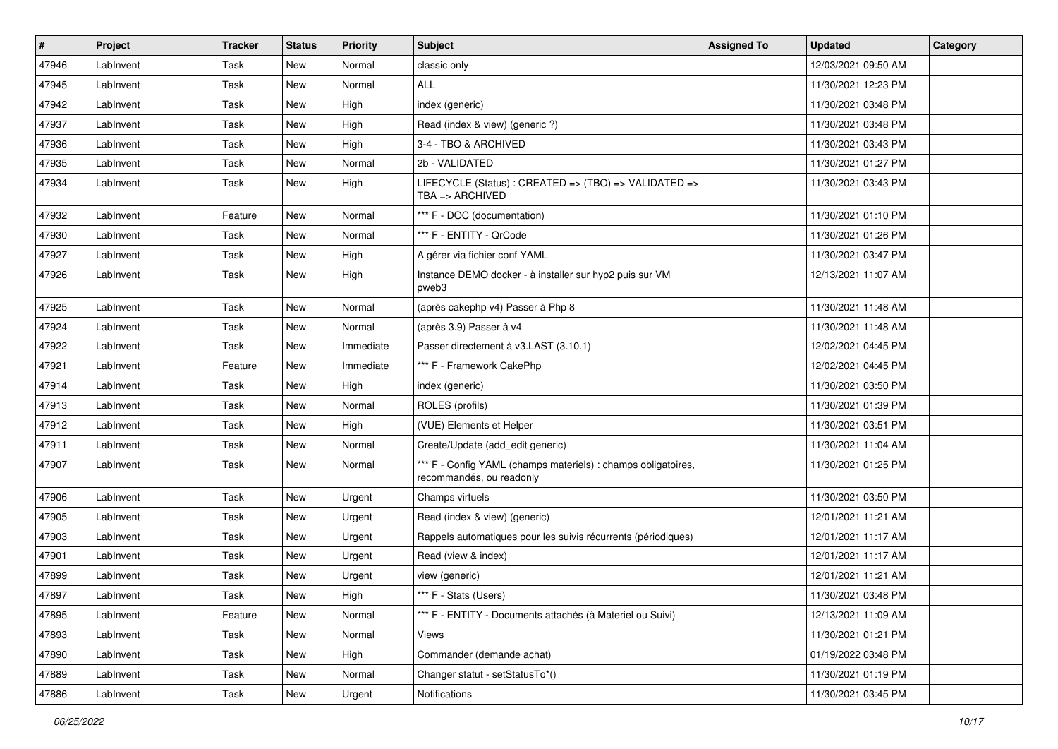| #     | Project   | <b>Tracker</b> | <b>Status</b> | <b>Priority</b> | <b>Subject</b>                                                                            | <b>Assigned To</b> | <b>Updated</b>      | Category |
|-------|-----------|----------------|---------------|-----------------|-------------------------------------------------------------------------------------------|--------------------|---------------------|----------|
| 47946 | LabInvent | Task           | New           | Normal          | classic only                                                                              |                    | 12/03/2021 09:50 AM |          |
| 47945 | LabInvent | Task           | <b>New</b>    | Normal          | ALL                                                                                       |                    | 11/30/2021 12:23 PM |          |
| 47942 | LabInvent | Task           | New           | High            | index (generic)                                                                           |                    | 11/30/2021 03:48 PM |          |
| 47937 | LabInvent | Task           | New           | High            | Read (index & view) (generic ?)                                                           |                    | 11/30/2021 03:48 PM |          |
| 47936 | LabInvent | Task           | New           | High            | 3-4 - TBO & ARCHIVED                                                                      |                    | 11/30/2021 03:43 PM |          |
| 47935 | LabInvent | Task           | <b>New</b>    | Normal          | 2b - VALIDATED                                                                            |                    | 11/30/2021 01:27 PM |          |
| 47934 | LabInvent | Task           | New           | High            | LIFECYCLE (Status) : CREATED => (TBO) => VALIDATED =><br>$TBA \Rightarrow ARCHIVED$       |                    | 11/30/2021 03:43 PM |          |
| 47932 | LabInvent | Feature        | New           | Normal          | *** F - DOC (documentation)                                                               |                    | 11/30/2021 01:10 PM |          |
| 47930 | LabInvent | Task           | <b>New</b>    | Normal          | *** F - ENTITY - QrCode                                                                   |                    | 11/30/2021 01:26 PM |          |
| 47927 | LabInvent | Task           | New           | High            | A gérer via fichier conf YAML                                                             |                    | 11/30/2021 03:47 PM |          |
| 47926 | LabInvent | Task           | New           | High            | Instance DEMO docker - à installer sur hyp2 puis sur VM<br>pweb3                          |                    | 12/13/2021 11:07 AM |          |
| 47925 | LabInvent | Task           | <b>New</b>    | Normal          | (après cakephp v4) Passer à Php 8                                                         |                    | 11/30/2021 11:48 AM |          |
| 47924 | LabInvent | Task           | New           | Normal          | (après 3.9) Passer à v4                                                                   |                    | 11/30/2021 11:48 AM |          |
| 47922 | LabInvent | Task           | New           | Immediate       | Passer directement à v3.LAST (3.10.1)                                                     |                    | 12/02/2021 04:45 PM |          |
| 47921 | LabInvent | Feature        | New           | Immediate       | *** F - Framework CakePhp                                                                 |                    | 12/02/2021 04:45 PM |          |
| 47914 | LabInvent | Task           | <b>New</b>    | High            | index (generic)                                                                           |                    | 11/30/2021 03:50 PM |          |
| 47913 | LabInvent | Task           | New           | Normal          | ROLES (profils)                                                                           |                    | 11/30/2021 01:39 PM |          |
| 47912 | LabInvent | Task           | New           | High            | (VUE) Elements et Helper                                                                  |                    | 11/30/2021 03:51 PM |          |
| 47911 | LabInvent | Task           | New           | Normal          | Create/Update (add_edit generic)                                                          |                    | 11/30/2021 11:04 AM |          |
| 47907 | LabInvent | Task           | New           | Normal          | *** F - Config YAML (champs materiels) : champs obligatoires,<br>recommandés, ou readonly |                    | 11/30/2021 01:25 PM |          |
| 47906 | LabInvent | Task           | New           | Urgent          | Champs virtuels                                                                           |                    | 11/30/2021 03:50 PM |          |
| 47905 | LabInvent | Task           | New           | Urgent          | Read (index & view) (generic)                                                             |                    | 12/01/2021 11:21 AM |          |
| 47903 | LabInvent | Task           | New           | Urgent          | Rappels automatiques pour les suivis récurrents (périodiques)                             |                    | 12/01/2021 11:17 AM |          |
| 47901 | LabInvent | Task           | <b>New</b>    | Urgent          | Read (view & index)                                                                       |                    | 12/01/2021 11:17 AM |          |
| 47899 | LabInvent | Task           | New           | Urgent          | view (generic)                                                                            |                    | 12/01/2021 11:21 AM |          |
| 47897 | LabInvent | Task           | New           | High            | *** F - Stats (Users)                                                                     |                    | 11/30/2021 03:48 PM |          |
| 47895 | LabInvent | Feature        | New           | Normal          | *** F - ENTITY - Documents attachés (à Materiel ou Suivi)                                 |                    | 12/13/2021 11:09 AM |          |
| 47893 | LabInvent | Task           | New           | Normal          | Views                                                                                     |                    | 11/30/2021 01:21 PM |          |
| 47890 | LabInvent | Task           | New           | High            | Commander (demande achat)                                                                 |                    | 01/19/2022 03:48 PM |          |
| 47889 | LabInvent | Task           | New           | Normal          | Changer statut - setStatusTo*()                                                           |                    | 11/30/2021 01:19 PM |          |
| 47886 | LabInvent | Task           | New           | Urgent          | Notifications                                                                             |                    | 11/30/2021 03:45 PM |          |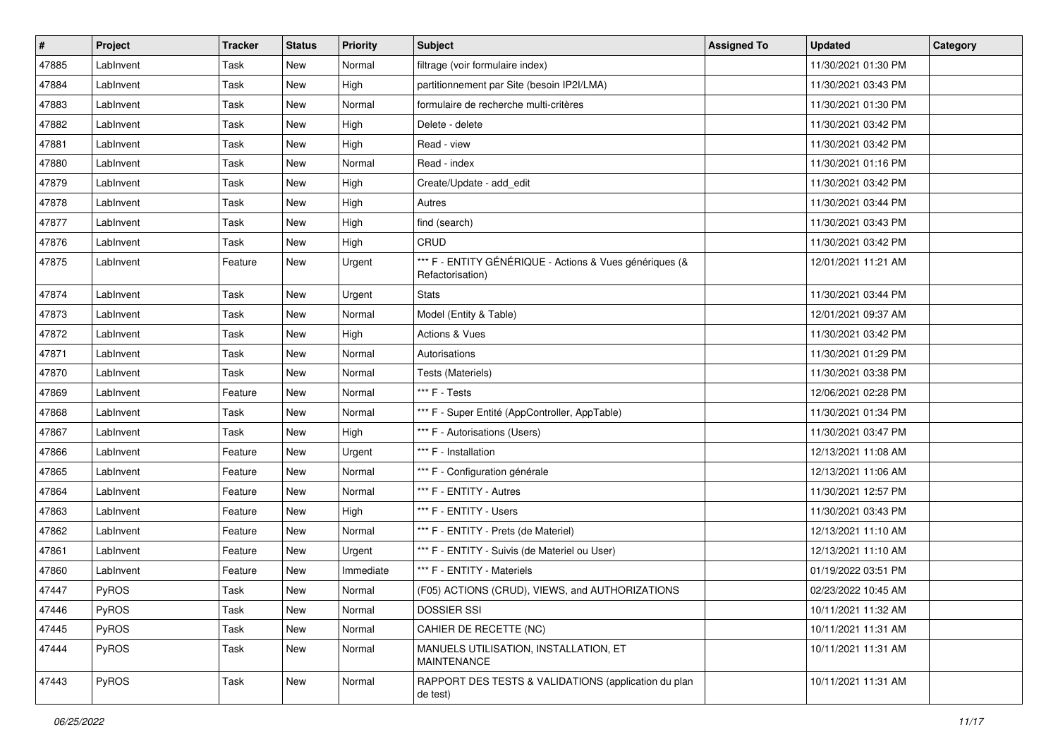| #     | Project   | <b>Tracker</b> | <b>Status</b> | <b>Priority</b> | <b>Subject</b>                                                              | <b>Assigned To</b> | <b>Updated</b>      | Category |
|-------|-----------|----------------|---------------|-----------------|-----------------------------------------------------------------------------|--------------------|---------------------|----------|
| 47885 | LabInvent | Task           | New           | Normal          | filtrage (voir formulaire index)                                            |                    | 11/30/2021 01:30 PM |          |
| 47884 | LabInvent | Task           | New           | High            | partitionnement par Site (besoin IP2I/LMA)                                  |                    | 11/30/2021 03:43 PM |          |
| 47883 | LabInvent | Task           | New           | Normal          | formulaire de recherche multi-critères                                      |                    | 11/30/2021 01:30 PM |          |
| 47882 | LabInvent | Task           | New           | High            | Delete - delete                                                             |                    | 11/30/2021 03:42 PM |          |
| 47881 | LabInvent | Task           | New           | High            | Read - view                                                                 |                    | 11/30/2021 03:42 PM |          |
| 47880 | LabInvent | Task           | New           | Normal          | Read - index                                                                |                    | 11/30/2021 01:16 PM |          |
| 47879 | LabInvent | Task           | New           | High            | Create/Update - add_edit                                                    |                    | 11/30/2021 03:42 PM |          |
| 47878 | LabInvent | Task           | New           | High            | Autres                                                                      |                    | 11/30/2021 03:44 PM |          |
| 47877 | LabInvent | Task           | New           | High            | find (search)                                                               |                    | 11/30/2021 03:43 PM |          |
| 47876 | LabInvent | Task           | New           | High            | CRUD                                                                        |                    | 11/30/2021 03:42 PM |          |
| 47875 | LabInvent | Feature        | New           | Urgent          | *** F - ENTITY GÉNÉRIQUE - Actions & Vues génériques (&<br>Refactorisation) |                    | 12/01/2021 11:21 AM |          |
| 47874 | LabInvent | Task           | New           | Urgent          | <b>Stats</b>                                                                |                    | 11/30/2021 03:44 PM |          |
| 47873 | LabInvent | Task           | New           | Normal          | Model (Entity & Table)                                                      |                    | 12/01/2021 09:37 AM |          |
| 47872 | LabInvent | Task           | New           | High            | Actions & Vues                                                              |                    | 11/30/2021 03:42 PM |          |
| 47871 | LabInvent | Task           | New           | Normal          | Autorisations                                                               |                    | 11/30/2021 01:29 PM |          |
| 47870 | LabInvent | Task           | New           | Normal          | Tests (Materiels)                                                           |                    | 11/30/2021 03:38 PM |          |
| 47869 | LabInvent | Feature        | New           | Normal          | *** F - Tests                                                               |                    | 12/06/2021 02:28 PM |          |
| 47868 | LabInvent | Task           | New           | Normal          | *** F - Super Entité (AppController, AppTable)                              |                    | 11/30/2021 01:34 PM |          |
| 47867 | LabInvent | Task           | New           | High            | *** F - Autorisations (Users)                                               |                    | 11/30/2021 03:47 PM |          |
| 47866 | LabInvent | Feature        | New           | Urgent          | *** F - Installation                                                        |                    | 12/13/2021 11:08 AM |          |
| 47865 | LabInvent | Feature        | New           | Normal          | *** F - Configuration générale                                              |                    | 12/13/2021 11:06 AM |          |
| 47864 | LabInvent | Feature        | New           | Normal          | *** F - ENTITY - Autres                                                     |                    | 11/30/2021 12:57 PM |          |
| 47863 | LabInvent | Feature        | New           | High            | *** F - ENTITY - Users                                                      |                    | 11/30/2021 03:43 PM |          |
| 47862 | LabInvent | Feature        | New           | Normal          | *** F - ENTITY - Prets (de Materiel)                                        |                    | 12/13/2021 11:10 AM |          |
| 47861 | LabInvent | Feature        | New           | Urgent          | *** F - ENTITY - Suivis (de Materiel ou User)                               |                    | 12/13/2021 11:10 AM |          |
| 47860 | LabInvent | Feature        | New           | Immediate       | *** F - ENTITY - Materiels                                                  |                    | 01/19/2022 03:51 PM |          |
| 47447 | PyROS     | Task           | <b>New</b>    | Normal          | (F05) ACTIONS (CRUD), VIEWS, and AUTHORIZATIONS                             |                    | 02/23/2022 10:45 AM |          |
| 47446 | PyROS     | Task           | New           | Normal          | <b>DOSSIER SSI</b>                                                          |                    | 10/11/2021 11:32 AM |          |
| 47445 | PyROS     | Task           | New           | Normal          | CAHIER DE RECETTE (NC)                                                      |                    | 10/11/2021 11:31 AM |          |
| 47444 | PyROS     | Task           | New           | Normal          | MANUELS UTILISATION, INSTALLATION, ET<br>MAINTENANCE                        |                    | 10/11/2021 11:31 AM |          |
| 47443 | PyROS     | Task           | New           | Normal          | RAPPORT DES TESTS & VALIDATIONS (application du plan<br>de test)            |                    | 10/11/2021 11:31 AM |          |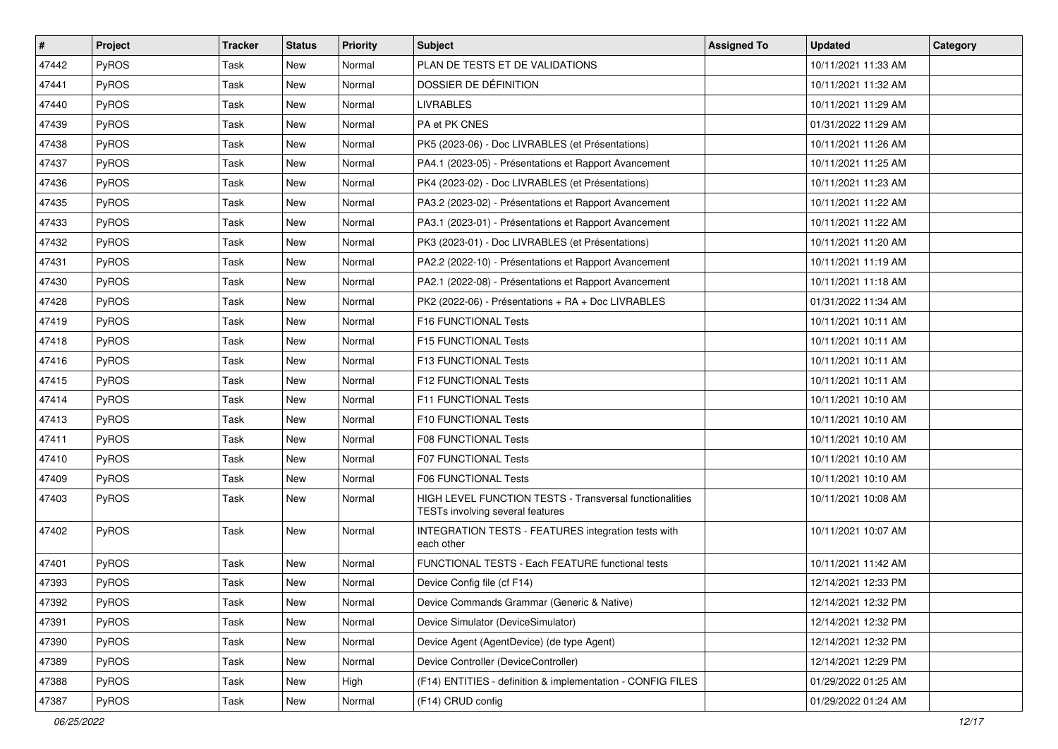| $\sharp$ | Project | <b>Tracker</b> | <b>Status</b> | <b>Priority</b> | <b>Subject</b>                                                                              | <b>Assigned To</b> | <b>Updated</b>      | Category |
|----------|---------|----------------|---------------|-----------------|---------------------------------------------------------------------------------------------|--------------------|---------------------|----------|
| 47442    | PyROS   | Task           | New           | Normal          | PLAN DE TESTS ET DE VALIDATIONS                                                             |                    | 10/11/2021 11:33 AM |          |
| 47441    | PyROS   | Task           | <b>New</b>    | Normal          | DOSSIER DE DÉFINITION                                                                       |                    | 10/11/2021 11:32 AM |          |
| 47440    | PyROS   | Task           | New           | Normal          | <b>LIVRABLES</b>                                                                            |                    | 10/11/2021 11:29 AM |          |
| 47439    | PyROS   | Task           | New           | Normal          | PA et PK CNES                                                                               |                    | 01/31/2022 11:29 AM |          |
| 47438    | PyROS   | Task           | New           | Normal          | PK5 (2023-06) - Doc LIVRABLES (et Présentations)                                            |                    | 10/11/2021 11:26 AM |          |
| 47437    | PyROS   | Task           | <b>New</b>    | Normal          | PA4.1 (2023-05) - Présentations et Rapport Avancement                                       |                    | 10/11/2021 11:25 AM |          |
| 47436    | PyROS   | Task           | New           | Normal          | PK4 (2023-02) - Doc LIVRABLES (et Présentations)                                            |                    | 10/11/2021 11:23 AM |          |
| 47435    | PyROS   | Task           | New           | Normal          | PA3.2 (2023-02) - Présentations et Rapport Avancement                                       |                    | 10/11/2021 11:22 AM |          |
| 47433    | PyROS   | Task           | New           | Normal          | PA3.1 (2023-01) - Présentations et Rapport Avancement                                       |                    | 10/11/2021 11:22 AM |          |
| 47432    | PyROS   | Task           | <b>New</b>    | Normal          | PK3 (2023-01) - Doc LIVRABLES (et Présentations)                                            |                    | 10/11/2021 11:20 AM |          |
| 47431    | PyROS   | Task           | <b>New</b>    | Normal          | PA2.2 (2022-10) - Présentations et Rapport Avancement                                       |                    | 10/11/2021 11:19 AM |          |
| 47430    | PyROS   | Task           | <b>New</b>    | Normal          | PA2.1 (2022-08) - Présentations et Rapport Avancement                                       |                    | 10/11/2021 11:18 AM |          |
| 47428    | PyROS   | Task           | New           | Normal          | PK2 (2022-06) - Présentations + RA + Doc LIVRABLES                                          |                    | 01/31/2022 11:34 AM |          |
| 47419    | PyROS   | Task           | New           | Normal          | F16 FUNCTIONAL Tests                                                                        |                    | 10/11/2021 10:11 AM |          |
| 47418    | PyROS   | Task           | <b>New</b>    | Normal          | F15 FUNCTIONAL Tests                                                                        |                    | 10/11/2021 10:11 AM |          |
| 47416    | PyROS   | Task           | <b>New</b>    | Normal          | F13 FUNCTIONAL Tests                                                                        |                    | 10/11/2021 10:11 AM |          |
| 47415    | PyROS   | Task           | New           | Normal          | F12 FUNCTIONAL Tests                                                                        |                    | 10/11/2021 10:11 AM |          |
| 47414    | PyROS   | Task           | New           | Normal          | F11 FUNCTIONAL Tests                                                                        |                    | 10/11/2021 10:10 AM |          |
| 47413    | PyROS   | Task           | New           | Normal          | F10 FUNCTIONAL Tests                                                                        |                    | 10/11/2021 10:10 AM |          |
| 47411    | PyROS   | Task           | New           | Normal          | F08 FUNCTIONAL Tests                                                                        |                    | 10/11/2021 10:10 AM |          |
| 47410    | PyROS   | Task           | New           | Normal          | F07 FUNCTIONAL Tests                                                                        |                    | 10/11/2021 10:10 AM |          |
| 47409    | PyROS   | Task           | New           | Normal          | F06 FUNCTIONAL Tests                                                                        |                    | 10/11/2021 10:10 AM |          |
| 47403    | PyROS   | Task           | New           | Normal          | HIGH LEVEL FUNCTION TESTS - Transversal functionalities<br>TESTs involving several features |                    | 10/11/2021 10:08 AM |          |
| 47402    | PyROS   | Task           | New           | Normal          | INTEGRATION TESTS - FEATURES integration tests with<br>each other                           |                    | 10/11/2021 10:07 AM |          |
| 47401    | PyROS   | Task           | <b>New</b>    | Normal          | FUNCTIONAL TESTS - Each FEATURE functional tests                                            |                    | 10/11/2021 11:42 AM |          |
| 47393    | PyROS   | Task           | <b>New</b>    | Normal          | Device Config file (cf F14)                                                                 |                    | 12/14/2021 12:33 PM |          |
| 47392    | PyROS   | Task           | New           | Normal          | Device Commands Grammar (Generic & Native)                                                  |                    | 12/14/2021 12:32 PM |          |
| 47391    | PyROS   | Task           | New           | Normal          | Device Simulator (DeviceSimulator)                                                          |                    | 12/14/2021 12:32 PM |          |
| 47390    | PyROS   | Task           | New           | Normal          | Device Agent (AgentDevice) (de type Agent)                                                  |                    | 12/14/2021 12:32 PM |          |
| 47389    | PyROS   | Task           | New           | Normal          | Device Controller (DeviceController)                                                        |                    | 12/14/2021 12:29 PM |          |
| 47388    | PyROS   | Task           | New           | High            | (F14) ENTITIES - definition & implementation - CONFIG FILES                                 |                    | 01/29/2022 01:25 AM |          |
| 47387    | PyROS   | Task           | New           | Normal          | (F14) CRUD config                                                                           |                    | 01/29/2022 01:24 AM |          |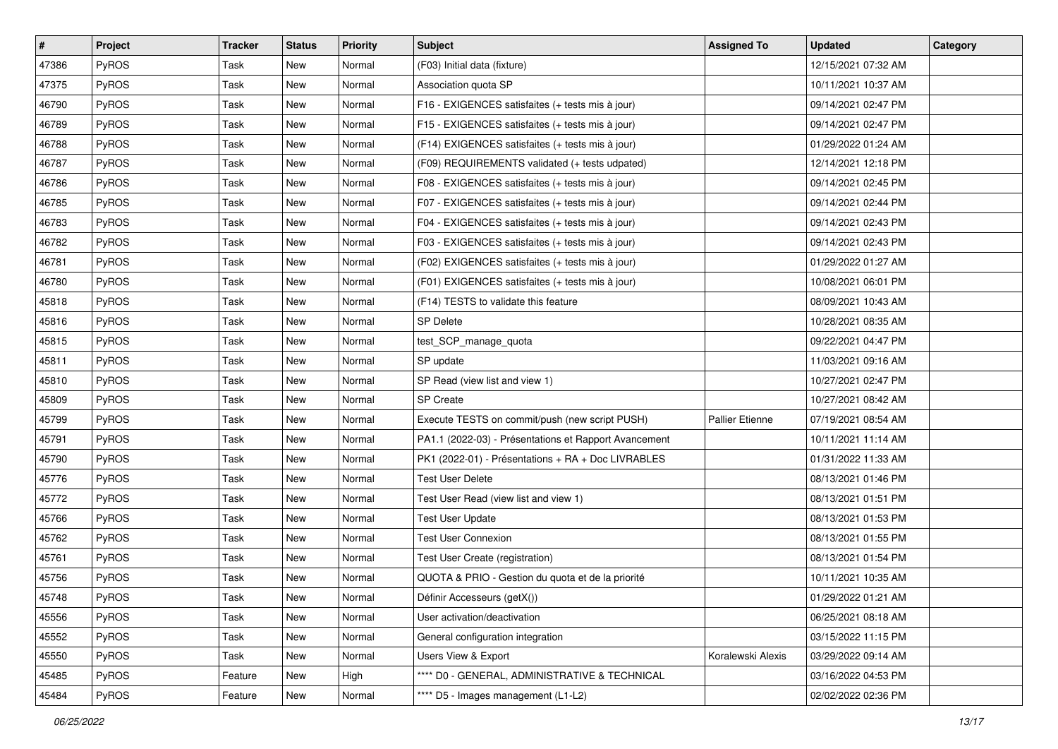| #     | Project      | <b>Tracker</b> | <b>Status</b> | <b>Priority</b> | <b>Subject</b>                                        | <b>Assigned To</b>     | <b>Updated</b>      | Category |
|-------|--------------|----------------|---------------|-----------------|-------------------------------------------------------|------------------------|---------------------|----------|
| 47386 | PyROS        | Task           | New           | Normal          | (F03) Initial data (fixture)                          |                        | 12/15/2021 07:32 AM |          |
| 47375 | PyROS        | Task           | New           | Normal          | Association quota SP                                  |                        | 10/11/2021 10:37 AM |          |
| 46790 | <b>PyROS</b> | Task           | New           | Normal          | F16 - EXIGENCES satisfaites (+ tests mis à jour)      |                        | 09/14/2021 02:47 PM |          |
| 46789 | PyROS        | Task           | New           | Normal          | F15 - EXIGENCES satisfaites (+ tests mis à jour)      |                        | 09/14/2021 02:47 PM |          |
| 46788 | PyROS        | Task           | New           | Normal          | (F14) EXIGENCES satisfaites (+ tests mis à jour)      |                        | 01/29/2022 01:24 AM |          |
| 46787 | PyROS        | Task           | New           | Normal          | (F09) REQUIREMENTS validated (+ tests udpated)        |                        | 12/14/2021 12:18 PM |          |
| 46786 | PyROS        | Task           | New           | Normal          | F08 - EXIGENCES satisfaites (+ tests mis à jour)      |                        | 09/14/2021 02:45 PM |          |
| 46785 | <b>PyROS</b> | Task           | New           | Normal          | F07 - EXIGENCES satisfaites (+ tests mis à jour)      |                        | 09/14/2021 02:44 PM |          |
| 46783 | PyROS        | Task           | New           | Normal          | F04 - EXIGENCES satisfaites (+ tests mis à jour)      |                        | 09/14/2021 02:43 PM |          |
| 46782 | PyROS        | Task           | New           | Normal          | F03 - EXIGENCES satisfaites (+ tests mis à jour)      |                        | 09/14/2021 02:43 PM |          |
| 46781 | PyROS        | Task           | New           | Normal          | (F02) EXIGENCES satisfaites (+ tests mis à jour)      |                        | 01/29/2022 01:27 AM |          |
| 46780 | PyROS        | Task           | New           | Normal          | (F01) EXIGENCES satisfaites (+ tests mis à jour)      |                        | 10/08/2021 06:01 PM |          |
| 45818 | <b>PyROS</b> | Task           | New           | Normal          | (F14) TESTS to validate this feature                  |                        | 08/09/2021 10:43 AM |          |
| 45816 | PyROS        | Task           | New           | Normal          | <b>SP Delete</b>                                      |                        | 10/28/2021 08:35 AM |          |
| 45815 | PyROS        | Task           | New           | Normal          | test_SCP_manage_quota                                 |                        | 09/22/2021 04:47 PM |          |
| 45811 | <b>PyROS</b> | Task           | New           | Normal          | SP update                                             |                        | 11/03/2021 09:16 AM |          |
| 45810 | PyROS        | Task           | New           | Normal          | SP Read (view list and view 1)                        |                        | 10/27/2021 02:47 PM |          |
| 45809 | <b>PyROS</b> | Task           | New           | Normal          | <b>SP Create</b>                                      |                        | 10/27/2021 08:42 AM |          |
| 45799 | PyROS        | Task           | New           | Normal          | Execute TESTS on commit/push (new script PUSH)        | <b>Pallier Etienne</b> | 07/19/2021 08:54 AM |          |
| 45791 | PyROS        | Task           | New           | Normal          | PA1.1 (2022-03) - Présentations et Rapport Avancement |                        | 10/11/2021 11:14 AM |          |
| 45790 | PyROS        | Task           | New           | Normal          | PK1 (2022-01) - Présentations + RA + Doc LIVRABLES    |                        | 01/31/2022 11:33 AM |          |
| 45776 | PyROS        | Task           | New           | Normal          | <b>Test User Delete</b>                               |                        | 08/13/2021 01:46 PM |          |
| 45772 | PyROS        | Task           | New           | Normal          | Test User Read (view list and view 1)                 |                        | 08/13/2021 01:51 PM |          |
| 45766 | PyROS        | Task           | New           | Normal          | <b>Test User Update</b>                               |                        | 08/13/2021 01:53 PM |          |
| 45762 | PyROS        | Task           | New           | Normal          | <b>Test User Connexion</b>                            |                        | 08/13/2021 01:55 PM |          |
| 45761 | PyROS        | Task           | New           | Normal          | Test User Create (registration)                       |                        | 08/13/2021 01:54 PM |          |
| 45756 | PyROS        | Task           | New           | Normal          | QUOTA & PRIO - Gestion du quota et de la priorité     |                        | 10/11/2021 10:35 AM |          |
| 45748 | PyROS        | Task           | New           | Normal          | Définir Accesseurs (getX())                           |                        | 01/29/2022 01:21 AM |          |
| 45556 | PyROS        | Task           | New           | Normal          | User activation/deactivation                          |                        | 06/25/2021 08:18 AM |          |
| 45552 | PyROS        | Task           | New           | Normal          | General configuration integration                     |                        | 03/15/2022 11:15 PM |          |
| 45550 | PyROS        | Task           | New           | Normal          | Users View & Export                                   | Koralewski Alexis      | 03/29/2022 09:14 AM |          |
| 45485 | PyROS        | Feature        | New           | High            | **** D0 - GENERAL, ADMINISTRATIVE & TECHNICAL         |                        | 03/16/2022 04:53 PM |          |
| 45484 | PyROS        | Feature        | New           | Normal          | **** D5 - Images management (L1-L2)                   |                        | 02/02/2022 02:36 PM |          |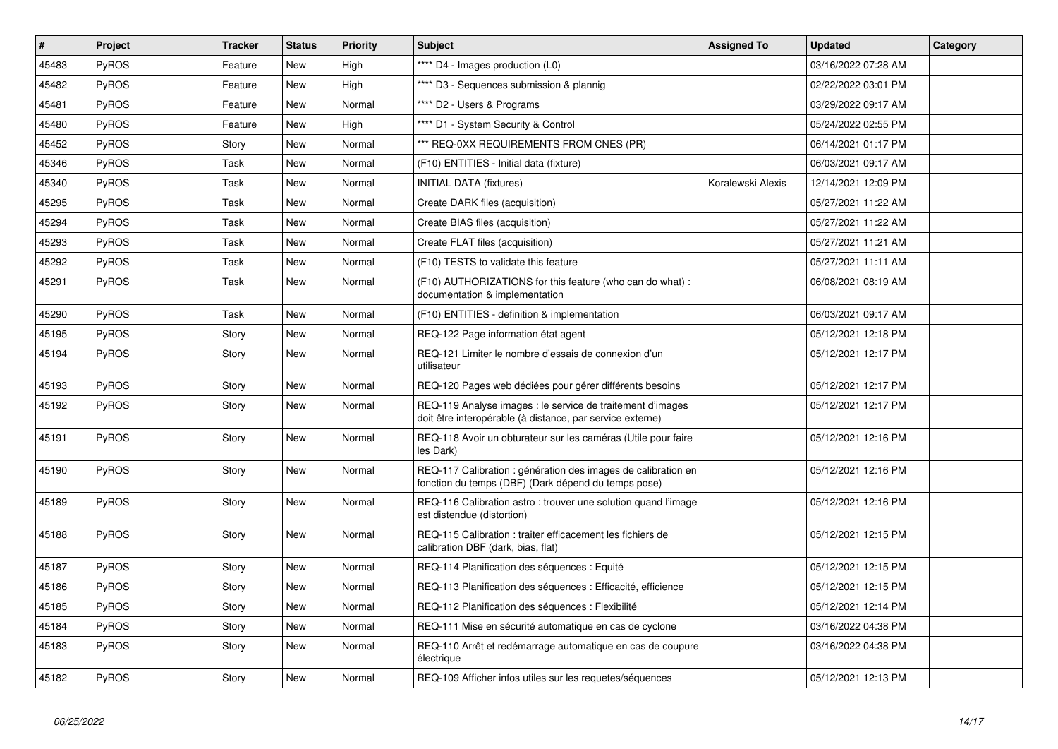| $\vert$ # | Project      | <b>Tracker</b> | <b>Status</b> | Priority | <b>Subject</b>                                                                                                          | <b>Assigned To</b> | <b>Updated</b>      | Category |
|-----------|--------------|----------------|---------------|----------|-------------------------------------------------------------------------------------------------------------------------|--------------------|---------------------|----------|
| 45483     | <b>PyROS</b> | Feature        | New           | High     | **** D4 - Images production (L0)                                                                                        |                    | 03/16/2022 07:28 AM |          |
| 45482     | <b>PyROS</b> | Feature        | <b>New</b>    | High     | **** D3 - Sequences submission & plannig                                                                                |                    | 02/22/2022 03:01 PM |          |
| 45481     | <b>PyROS</b> | Feature        | New           | Normal   | **** D2 - Users & Programs                                                                                              |                    | 03/29/2022 09:17 AM |          |
| 45480     | <b>PyROS</b> | Feature        | <b>New</b>    | High     | **** D1 - System Security & Control                                                                                     |                    | 05/24/2022 02:55 PM |          |
| 45452     | PyROS        | Story          | <b>New</b>    | Normal   | *** REQ-0XX REQUIREMENTS FROM CNES (PR)                                                                                 |                    | 06/14/2021 01:17 PM |          |
| 45346     | <b>PyROS</b> | Task           | <b>New</b>    | Normal   | (F10) ENTITIES - Initial data (fixture)                                                                                 |                    | 06/03/2021 09:17 AM |          |
| 45340     | <b>PyROS</b> | Task           | New           | Normal   | <b>INITIAL DATA (fixtures)</b>                                                                                          | Koralewski Alexis  | 12/14/2021 12:09 PM |          |
| 45295     | <b>PyROS</b> | Task           | <b>New</b>    | Normal   | Create DARK files (acquisition)                                                                                         |                    | 05/27/2021 11:22 AM |          |
| 45294     | <b>PyROS</b> | Task           | <b>New</b>    | Normal   | Create BIAS files (acquisition)                                                                                         |                    | 05/27/2021 11:22 AM |          |
| 45293     | <b>PyROS</b> | Task           | <b>New</b>    | Normal   | Create FLAT files (acquisition)                                                                                         |                    | 05/27/2021 11:21 AM |          |
| 45292     | <b>PyROS</b> | Task           | <b>New</b>    | Normal   | (F10) TESTS to validate this feature                                                                                    |                    | 05/27/2021 11:11 AM |          |
| 45291     | <b>PyROS</b> | Task           | <b>New</b>    | Normal   | (F10) AUTHORIZATIONS for this feature (who can do what) :<br>documentation & implementation                             |                    | 06/08/2021 08:19 AM |          |
| 45290     | <b>PyROS</b> | Task           | <b>New</b>    | Normal   | (F10) ENTITIES - definition & implementation                                                                            |                    | 06/03/2021 09:17 AM |          |
| 45195     | <b>PyROS</b> | Story          | <b>New</b>    | Normal   | REQ-122 Page information état agent                                                                                     |                    | 05/12/2021 12:18 PM |          |
| 45194     | <b>PyROS</b> | Story          | <b>New</b>    | Normal   | REQ-121 Limiter le nombre d'essais de connexion d'un<br>utilisateur                                                     |                    | 05/12/2021 12:17 PM |          |
| 45193     | PyROS        | Story          | <b>New</b>    | Normal   | REQ-120 Pages web dédiées pour gérer différents besoins                                                                 |                    | 05/12/2021 12:17 PM |          |
| 45192     | PyROS        | Story          | <b>New</b>    | Normal   | REQ-119 Analyse images : le service de traitement d'images<br>doit être interopérable (à distance, par service externe) |                    | 05/12/2021 12:17 PM |          |
| 45191     | <b>PyROS</b> | Story          | <b>New</b>    | Normal   | REQ-118 Avoir un obturateur sur les caméras (Utile pour faire<br>les Dark)                                              |                    | 05/12/2021 12:16 PM |          |
| 45190     | <b>PyROS</b> | Story          | <b>New</b>    | Normal   | REQ-117 Calibration : génération des images de calibration en<br>fonction du temps (DBF) (Dark dépend du temps pose)    |                    | 05/12/2021 12:16 PM |          |
| 45189     | <b>PyROS</b> | Story          | <b>New</b>    | Normal   | REQ-116 Calibration astro : trouver une solution quand l'image<br>est distendue (distortion)                            |                    | 05/12/2021 12:16 PM |          |
| 45188     | <b>PyROS</b> | Story          | New           | Normal   | REQ-115 Calibration : traiter efficacement les fichiers de<br>calibration DBF (dark, bias, flat)                        |                    | 05/12/2021 12:15 PM |          |
| 45187     | <b>PyROS</b> | Story          | <b>New</b>    | Normal   | REQ-114 Planification des séquences : Equité                                                                            |                    | 05/12/2021 12:15 PM |          |
| 45186     | <b>PyROS</b> | Story          | <b>New</b>    | Normal   | REQ-113 Planification des séquences : Efficacité, efficience                                                            |                    | 05/12/2021 12:15 PM |          |
| 45185     | <b>PyROS</b> | Story          | <b>New</b>    | Normal   | REQ-112 Planification des séquences : Flexibilité                                                                       |                    | 05/12/2021 12:14 PM |          |
| 45184     | <b>PyROS</b> | Story          | <b>New</b>    | Normal   | REQ-111 Mise en sécurité automatique en cas de cyclone                                                                  |                    | 03/16/2022 04:38 PM |          |
| 45183     | PyROS        | Story          | <b>New</b>    | Normal   | REQ-110 Arrêt et redémarrage automatique en cas de coupure<br>électrique                                                |                    | 03/16/2022 04:38 PM |          |
| 45182     | <b>PyROS</b> | Story          | New           | Normal   | REQ-109 Afficher infos utiles sur les requetes/séquences                                                                |                    | 05/12/2021 12:13 PM |          |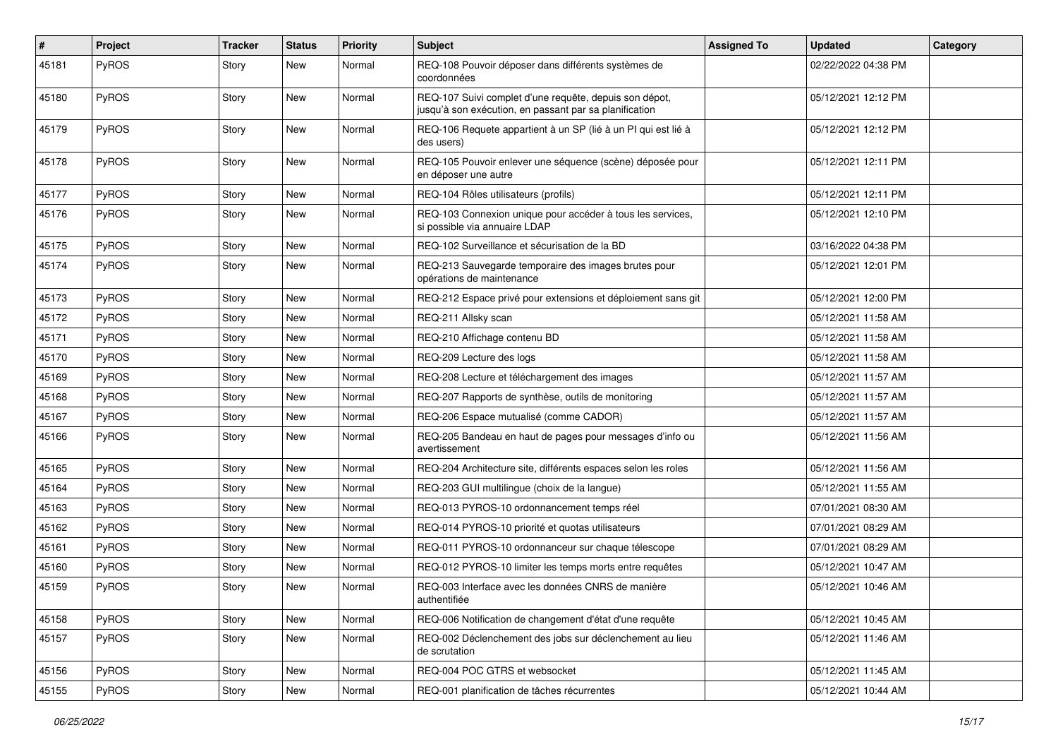| $\sharp$ | Project      | <b>Tracker</b> | <b>Status</b> | <b>Priority</b> | <b>Subject</b>                                                                                                   | <b>Assigned To</b> | <b>Updated</b>      | Category |
|----------|--------------|----------------|---------------|-----------------|------------------------------------------------------------------------------------------------------------------|--------------------|---------------------|----------|
| 45181    | PyROS        | Story          | New           | Normal          | REQ-108 Pouvoir déposer dans différents systèmes de<br>coordonnées                                               |                    | 02/22/2022 04:38 PM |          |
| 45180    | <b>PyROS</b> | Story          | New           | Normal          | REQ-107 Suivi complet d'une requête, depuis son dépot,<br>jusqu'à son exécution, en passant par sa planification |                    | 05/12/2021 12:12 PM |          |
| 45179    | PyROS        | Story          | New           | Normal          | REQ-106 Requete appartient à un SP (lié à un PI qui est lié à<br>des users)                                      |                    | 05/12/2021 12:12 PM |          |
| 45178    | PyROS        | Story          | New           | Normal          | REQ-105 Pouvoir enlever une séquence (scène) déposée pour<br>en déposer une autre                                |                    | 05/12/2021 12:11 PM |          |
| 45177    | PyROS        | Story          | New           | Normal          | REQ-104 Rôles utilisateurs (profils)                                                                             |                    | 05/12/2021 12:11 PM |          |
| 45176    | <b>PyROS</b> | Story          | New           | Normal          | REQ-103 Connexion unique pour accéder à tous les services,<br>si possible via annuaire LDAP                      |                    | 05/12/2021 12:10 PM |          |
| 45175    | PyROS        | Story          | New           | Normal          | REQ-102 Surveillance et sécurisation de la BD                                                                    |                    | 03/16/2022 04:38 PM |          |
| 45174    | PyROS        | Story          | <b>New</b>    | Normal          | REQ-213 Sauvegarde temporaire des images brutes pour<br>opérations de maintenance                                |                    | 05/12/2021 12:01 PM |          |
| 45173    | PyROS        | Story          | New           | Normal          | REQ-212 Espace privé pour extensions et déploiement sans git                                                     |                    | 05/12/2021 12:00 PM |          |
| 45172    | PyROS        | Story          | New           | Normal          | REQ-211 Allsky scan                                                                                              |                    | 05/12/2021 11:58 AM |          |
| 45171    | PyROS        | Story          | <b>New</b>    | Normal          | REQ-210 Affichage contenu BD                                                                                     |                    | 05/12/2021 11:58 AM |          |
| 45170    | PyROS        | Story          | New           | Normal          | REQ-209 Lecture des logs                                                                                         |                    | 05/12/2021 11:58 AM |          |
| 45169    | <b>PyROS</b> | Story          | New           | Normal          | REQ-208 Lecture et téléchargement des images                                                                     |                    | 05/12/2021 11:57 AM |          |
| 45168    | PyROS        | Story          | New           | Normal          | REQ-207 Rapports de synthèse, outils de monitoring                                                               |                    | 05/12/2021 11:57 AM |          |
| 45167    | PyROS        | Story          | New           | Normal          | REQ-206 Espace mutualisé (comme CADOR)                                                                           |                    | 05/12/2021 11:57 AM |          |
| 45166    | PyROS        | Story          | New           | Normal          | REQ-205 Bandeau en haut de pages pour messages d'info ou<br>avertissement                                        |                    | 05/12/2021 11:56 AM |          |
| 45165    | PyROS        | Story          | New           | Normal          | REQ-204 Architecture site, différents espaces selon les roles                                                    |                    | 05/12/2021 11:56 AM |          |
| 45164    | PyROS        | Story          | New           | Normal          | REQ-203 GUI multilingue (choix de la langue)                                                                     |                    | 05/12/2021 11:55 AM |          |
| 45163    | PyROS        | Story          | <b>New</b>    | Normal          | REQ-013 PYROS-10 ordonnancement temps réel                                                                       |                    | 07/01/2021 08:30 AM |          |
| 45162    | <b>PyROS</b> | Story          | New           | Normal          | REQ-014 PYROS-10 priorité et quotas utilisateurs                                                                 |                    | 07/01/2021 08:29 AM |          |
| 45161    | PyROS        | Story          | New           | Normal          | REQ-011 PYROS-10 ordonnanceur sur chaque télescope                                                               |                    | 07/01/2021 08:29 AM |          |
| 45160    | PyROS        | Story          | New           | Normal          | REQ-012 PYROS-10 limiter les temps morts entre requêtes                                                          |                    | 05/12/2021 10:47 AM |          |
| 45159    | PyROS        | Story          | New           | Normal          | REQ-003 Interface avec les données CNRS de manière<br>authentifiée                                               |                    | 05/12/2021 10:46 AM |          |
| 45158    | PyROS        | Story          | New           | Normal          | REQ-006 Notification de changement d'état d'une requête                                                          |                    | 05/12/2021 10:45 AM |          |
| 45157    | PyROS        | Story          | New           | Normal          | REQ-002 Déclenchement des jobs sur déclenchement au lieu<br>de scrutation                                        |                    | 05/12/2021 11:46 AM |          |
| 45156    | PyROS        | Story          | New           | Normal          | REQ-004 POC GTRS et websocket                                                                                    |                    | 05/12/2021 11:45 AM |          |
| 45155    | PyROS        | Story          | New           | Normal          | REQ-001 planification de tâches récurrentes                                                                      |                    | 05/12/2021 10:44 AM |          |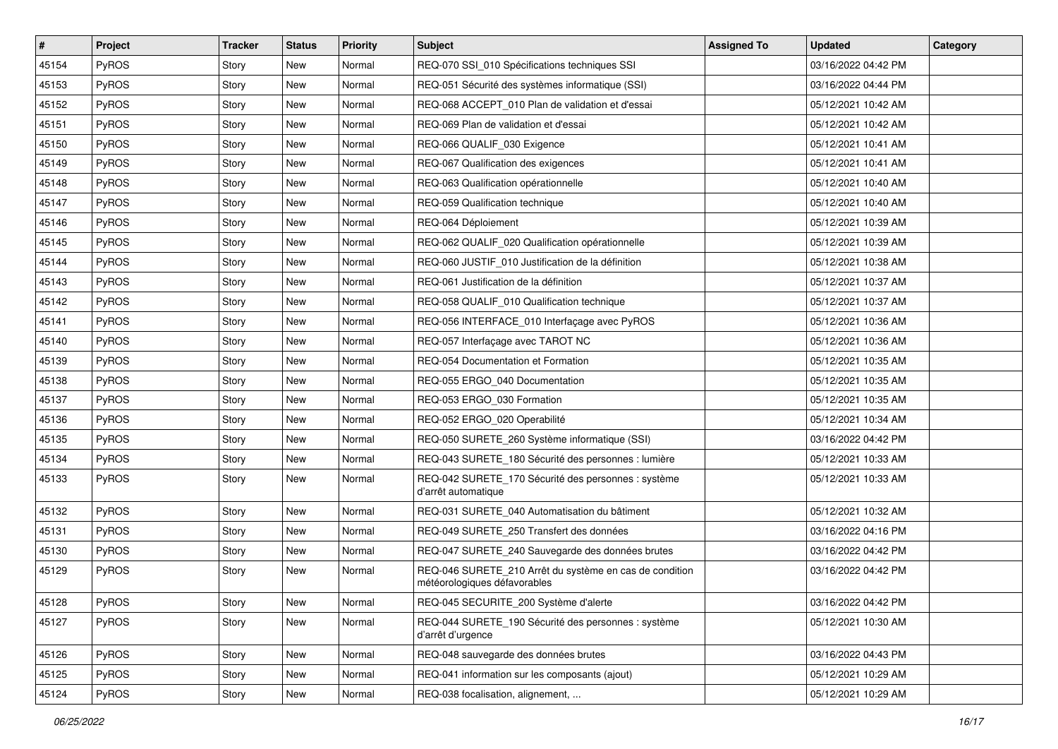| $\vert$ # | Project      | <b>Tracker</b> | <b>Status</b> | <b>Priority</b> | Subject                                                                                 | <b>Assigned To</b> | <b>Updated</b>      | Category |
|-----------|--------------|----------------|---------------|-----------------|-----------------------------------------------------------------------------------------|--------------------|---------------------|----------|
| 45154     | PyROS        | Story          | <b>New</b>    | Normal          | REQ-070 SSI_010 Spécifications techniques SSI                                           |                    | 03/16/2022 04:42 PM |          |
| 45153     | PyROS        | Story          | <b>New</b>    | Normal          | REQ-051 Sécurité des systèmes informatique (SSI)                                        |                    | 03/16/2022 04:44 PM |          |
| 45152     | <b>PyROS</b> | Story          | <b>New</b>    | Normal          | REQ-068 ACCEPT_010 Plan de validation et d'essai                                        |                    | 05/12/2021 10:42 AM |          |
| 45151     | PyROS        | Story          | New           | Normal          | REQ-069 Plan de validation et d'essai                                                   |                    | 05/12/2021 10:42 AM |          |
| 45150     | PyROS        | Story          | <b>New</b>    | Normal          | REQ-066 QUALIF_030 Exigence                                                             |                    | 05/12/2021 10:41 AM |          |
| 45149     | PyROS        | Story          | <b>New</b>    | Normal          | REQ-067 Qualification des exigences                                                     |                    | 05/12/2021 10:41 AM |          |
| 45148     | PyROS        | Story          | <b>New</b>    | Normal          | REQ-063 Qualification opérationnelle                                                    |                    | 05/12/2021 10:40 AM |          |
| 45147     | PyROS        | Story          | New           | Normal          | REQ-059 Qualification technique                                                         |                    | 05/12/2021 10:40 AM |          |
| 45146     | PyROS        | Story          | <b>New</b>    | Normal          | REQ-064 Déploiement                                                                     |                    | 05/12/2021 10:39 AM |          |
| 45145     | PyROS        | Story          | <b>New</b>    | Normal          | REQ-062 QUALIF_020 Qualification opérationnelle                                         |                    | 05/12/2021 10:39 AM |          |
| 45144     | PyROS        | Story          | <b>New</b>    | Normal          | REQ-060 JUSTIF 010 Justification de la définition                                       |                    | 05/12/2021 10:38 AM |          |
| 45143     | PyROS        | Story          | <b>New</b>    | Normal          | REQ-061 Justification de la définition                                                  |                    | 05/12/2021 10:37 AM |          |
| 45142     | PyROS        | Story          | New           | Normal          | REQ-058 QUALIF_010 Qualification technique                                              |                    | 05/12/2021 10:37 AM |          |
| 45141     | PyROS        | Story          | <b>New</b>    | Normal          | REQ-056 INTERFACE 010 Interfaçage avec PyROS                                            |                    | 05/12/2021 10:36 AM |          |
| 45140     | PyROS        | Story          | <b>New</b>    | Normal          | REQ-057 Interfaçage avec TAROT NC                                                       |                    | 05/12/2021 10:36 AM |          |
| 45139     | PyROS        | Story          | <b>New</b>    | Normal          | REQ-054 Documentation et Formation                                                      |                    | 05/12/2021 10:35 AM |          |
| 45138     | PyROS        | Story          | <b>New</b>    | Normal          | REQ-055 ERGO 040 Documentation                                                          |                    | 05/12/2021 10:35 AM |          |
| 45137     | PyROS        | Story          | <b>New</b>    | Normal          | REQ-053 ERGO_030 Formation                                                              |                    | 05/12/2021 10:35 AM |          |
| 45136     | PyROS        | Story          | <b>New</b>    | Normal          | REQ-052 ERGO_020 Operabilité                                                            |                    | 05/12/2021 10:34 AM |          |
| 45135     | PyROS        | Story          | <b>New</b>    | Normal          | REQ-050 SURETE_260 Système informatique (SSI)                                           |                    | 03/16/2022 04:42 PM |          |
| 45134     | PyROS        | Story          | New           | Normal          | REQ-043 SURETE_180 Sécurité des personnes : lumière                                     |                    | 05/12/2021 10:33 AM |          |
| 45133     | PyROS        | Story          | New           | Normal          | REQ-042 SURETE_170 Sécurité des personnes : système<br>d'arrêt automatique              |                    | 05/12/2021 10:33 AM |          |
| 45132     | PyROS        | Story          | <b>New</b>    | Normal          | REQ-031 SURETE_040 Automatisation du bâtiment                                           |                    | 05/12/2021 10:32 AM |          |
| 45131     | PyROS        | Story          | New           | Normal          | REQ-049 SURETE 250 Transfert des données                                                |                    | 03/16/2022 04:16 PM |          |
| 45130     | PyROS        | Story          | New           | Normal          | REQ-047 SURETE 240 Sauvegarde des données brutes                                        |                    | 03/16/2022 04:42 PM |          |
| 45129     | PyROS        | Story          | <b>New</b>    | Normal          | REQ-046 SURETE_210 Arrêt du système en cas de condition<br>météorologiques défavorables |                    | 03/16/2022 04:42 PM |          |
| 45128     | PyROS        | Story          | New           | Normal          | REQ-045 SECURITE_200 Système d'alerte                                                   |                    | 03/16/2022 04:42 PM |          |
| 45127     | PyROS        | Story          | New           | Normal          | REQ-044 SURETE_190 Sécurité des personnes : système<br>d'arrêt d'urgence                |                    | 05/12/2021 10:30 AM |          |
| 45126     | PyROS        | Story          | New           | Normal          | REQ-048 sauvegarde des données brutes                                                   |                    | 03/16/2022 04:43 PM |          |
| 45125     | PyROS        | Story          | New           | Normal          | REQ-041 information sur les composants (ajout)                                          |                    | 05/12/2021 10:29 AM |          |
| 45124     | PyROS        | Story          | New           | Normal          | REQ-038 focalisation, alignement,                                                       |                    | 05/12/2021 10:29 AM |          |